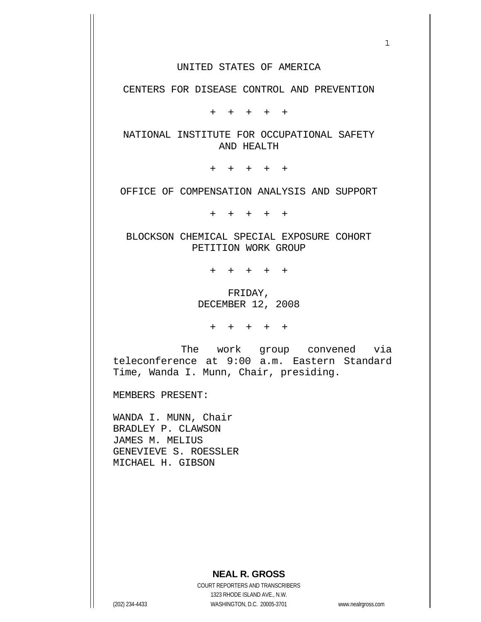## UNITED STATES OF AMERICA

 $1$ 

CENTERS FOR DISEASE CONTROL AND PREVENTION

+ + + + +

 NATIONAL INSTITUTE FOR OCCUPATIONAL SAFETY AND HEALTH

+ + + + +

OFFICE OF COMPENSATION ANALYSIS AND SUPPORT

+ + + + +

 BLOCKSON CHEMICAL SPECIAL EXPOSURE COHORT PETITION WORK GROUP

+ + + + +

 FRIDAY, DECEMBER 12, 2008

+ + + + +

 The work group convened via teleconference at 9:00 a.m. Eastern Standard Time, Wanda I. Munn, Chair, presiding.

MEMBERS PRESENT:

WANDA I. MUNN, Chair BRADLEY P. CLAWSON JAMES M. MELIUS GENEVIEVE S. ROESSLER MICHAEL H. GIBSON

## **NEAL R. GROSS**

 COURT REPORTERS AND TRANSCRIBERS 1323 RHODE ISLAND AVE., N.W. (202) 234-4433 WASHINGTON, D.C. 20005-3701 www.nealrgross.com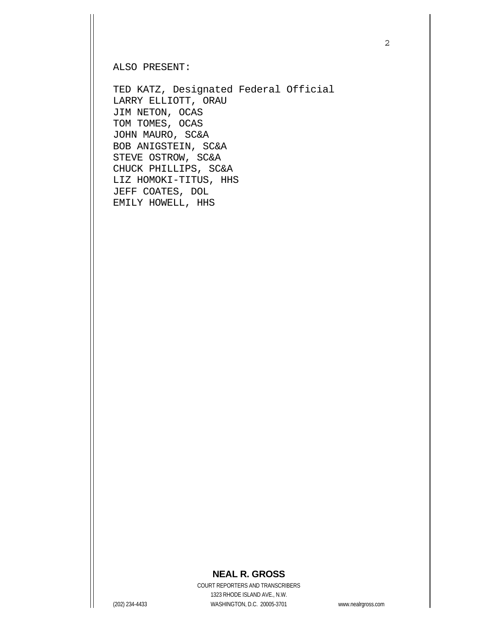ALSO PRESENT:

TED KATZ, Designated Federal Official LARRY ELLIOTT, ORAU JIM NETON, OCAS TOM TOMES, OCAS JOHN MAURO, SC&A BOB ANIGSTEIN, SC&A STEVE OSTROW, SC&A CHUCK PHILLIPS, SC&A LIZ HOMOKI-TITUS, HHS JEFF COATES, DOL EMILY HOWELL, HHS

## **NEAL R. GROSS**

 COURT REPORTERS AND TRANSCRIBERS 1323 RHODE ISLAND AVE., N.W. (202) 234-4433 WASHINGTON, D.C. 20005-3701 www.nealrgross.com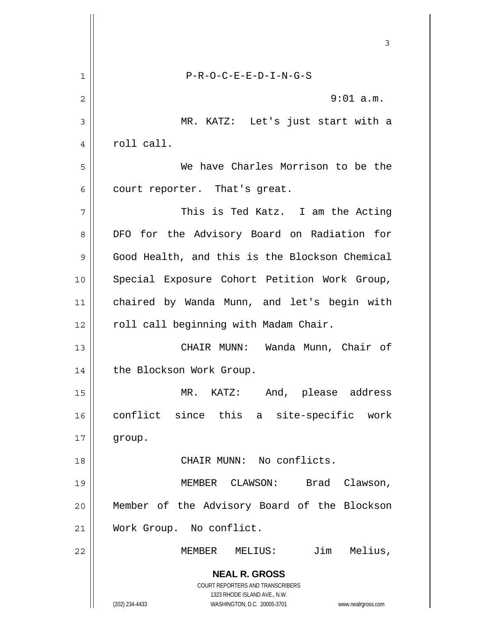|    | 3                                                                   |
|----|---------------------------------------------------------------------|
| 1  | $P-R-O-C-E-E-D-I-N-G-S$                                             |
| 2  | $9:01$ a.m.                                                         |
| 3  | MR. KATZ: Let's just start with a                                   |
| 4  | roll call.                                                          |
| 5  | We have Charles Morrison to be the                                  |
| 6  | court reporter. That's great.                                       |
| 7  | This is Ted Katz. I am the Acting                                   |
| 8  | DFO for the Advisory Board on Radiation for                         |
| 9  | Good Health, and this is the Blockson Chemical                      |
| 10 | Special Exposure Cohort Petition Work Group,                        |
| 11 | chaired by Wanda Munn, and let's begin with                         |
| 12 | roll call beginning with Madam Chair.                               |
| 13 | CHAIR MUNN: Wanda Munn, Chair of                                    |
| 14 | the Blockson Work Group.                                            |
| 15 | MR. KATZ:<br>And, please address                                    |
| 16 | conflict since this<br>a site-specific work                         |
| 17 | group.                                                              |
| 18 | CHAIR MUNN: No conflicts.                                           |
| 19 | MEMBER CLAWSON:<br>Brad<br>Clawson,                                 |
| 20 | Member of the Advisory Board of the Blockson                        |
| 21 | Work Group. No conflict.                                            |
| 22 | Jim<br>Melius,<br>MEMBER<br>MELIUS:                                 |
|    | <b>NEAL R. GROSS</b>                                                |
|    | COURT REPORTERS AND TRANSCRIBERS<br>1323 RHODE ISLAND AVE., N.W.    |
|    | (202) 234-4433<br>WASHINGTON, D.C. 20005-3701<br>www.nealrgross.com |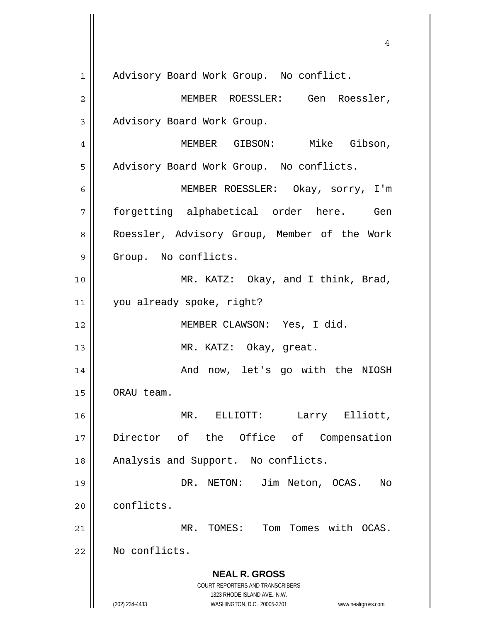**NEAL R. GROSS** COURT REPORTERS AND TRANSCRIBERS 1323 RHODE ISLAND AVE., N.W. (202) 234-4433 WASHINGTON, D.C. 20005-3701 www.nealrgross.com 4 1 | Advisory Board Work Group. No conflict. 2 MEMBER ROESSLER: Gen Roessler, 3 | Advisory Board Work Group. 4 MEMBER GIBSON: Mike Gibson, 5 | Advisory Board Work Group. No conflicts. 6 MEMBER ROESSLER: Okay, sorry, I'm 7 forgetting alphabetical order here. Gen 8 || Roessler, Advisory Group, Member of the Work 9 Group. No conflicts. 10 || MR. KATZ: Okay, and I think, Brad, 11 you already spoke, right? 12 || MEMBER CLAWSON: Yes, I did. 13 || MR. KATZ: Okay, great. 14 And now, let's go with the NIOSH 15 | ORAU team. 16 MR. ELLIOTT: Larry Elliott, 17 Director of the Office of Compensation 18 || Analysis and Support. No conflicts. 19 DR. NETON: Jim Neton, OCAS. No 20 conflicts. 21 MR. TOMES: Tom Tomes with OCAS. 22 | No conflicts.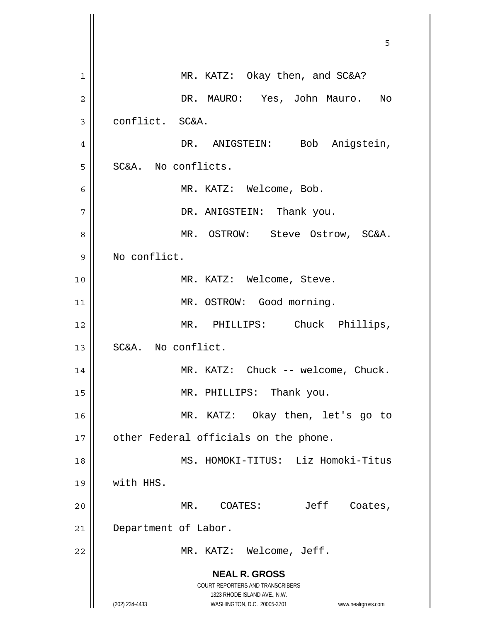|                | 5                                                                       |
|----------------|-------------------------------------------------------------------------|
|                |                                                                         |
| 1              | MR. KATZ: Okay then, and SC&A?                                          |
| $\overline{2}$ | DR. MAURO: Yes, John Mauro.<br>No                                       |
| 3              | conflict. SC&A.                                                         |
| 4              | DR. ANIGSTEIN: Bob Anigstein,                                           |
| 5              | SC&A. No conflicts.                                                     |
| 6              | MR. KATZ: Welcome, Bob.                                                 |
| 7              | DR. ANIGSTEIN: Thank you.                                               |
| 8              | MR. OSTROW: Steve Ostrow, SC&A.                                         |
| 9              | No conflict.                                                            |
| 10             | MR. KATZ: Welcome, Steve.                                               |
| 11             | MR. OSTROW: Good morning.                                               |
| 12             | MR. PHILLIPS: Chuck Phillips,                                           |
| 13             | SC&A. No conflict.                                                      |
| 14             | MR. KATZ: Chuck -- welcome, Chuck.                                      |
| 15             | MR. PHILLIPS: Thank you.                                                |
| 16             | MR. KATZ: Okay then, let's go to                                        |
| 17             | other Federal officials on the phone.                                   |
| 18             | MS. HOMOKI-TITUS: Liz Homoki-Titus                                      |
| 19             | with HHS.                                                               |
| 20             | MR. COATES:<br>Jeff Coates,                                             |
| 21             | Department of Labor.                                                    |
| 22             | MR. KATZ: Welcome, Jeff.                                                |
|                | <b>NEAL R. GROSS</b>                                                    |
|                | <b>COURT REPORTERS AND TRANSCRIBERS</b><br>1323 RHODE ISLAND AVE., N.W. |
|                | (202) 234-4433<br>WASHINGTON, D.C. 20005-3701<br>www.nealrgross.com     |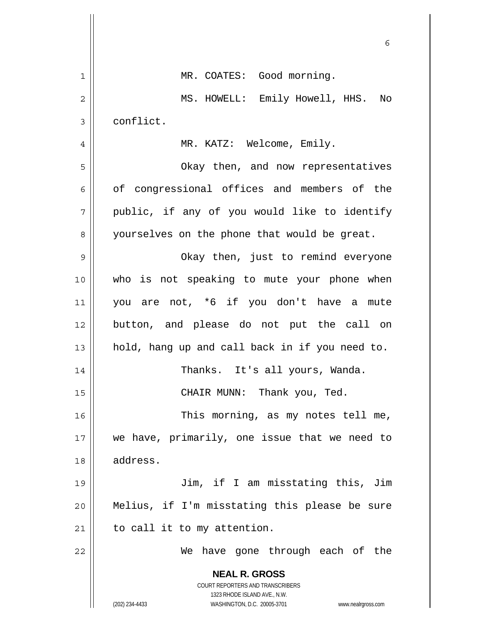|                | 6                                                                   |
|----------------|---------------------------------------------------------------------|
| $\mathbf 1$    | MR. COATES: Good morning.                                           |
| $\overline{c}$ | MS. HOWELL: Emily Howell, HHS.<br>No                                |
| 3              | conflict.                                                           |
| 4              | MR. KATZ: Welcome, Emily.                                           |
| 5              | Okay then, and now representatives                                  |
| 6              | of congressional offices and members of the                         |
| 7              | public, if any of you would like to identify                        |
| 8              | yourselves on the phone that would be great.                        |
| 9              | Okay then, just to remind everyone                                  |
| 10             | who is not speaking to mute your phone when                         |
| 11             | you are not, *6 if you don't have a mute                            |
| 12             | button, and please do not put the call on                           |
| 13             | hold, hang up and call back in if you need to.                      |
| 14             | Thanks. It's all yours, Wanda.                                      |
| 15             | CHAIR MUNN: Thank you, Ted.                                         |
| 16             | This morning, as my notes tell me,                                  |
| 17             | we have, primarily, one issue that we need to                       |
| 18             | address.                                                            |
| 19             | Jim, if I am misstating this, Jim                                   |
| 20             | Melius, if I'm misstating this please be sure                       |
| 21             | to call it to my attention.                                         |
| 22             | We have gone through each of the                                    |
|                | <b>NEAL R. GROSS</b>                                                |
|                | COURT REPORTERS AND TRANSCRIBERS<br>1323 RHODE ISLAND AVE., N.W.    |
|                | (202) 234-4433<br>WASHINGTON, D.C. 20005-3701<br>www.nealrgross.com |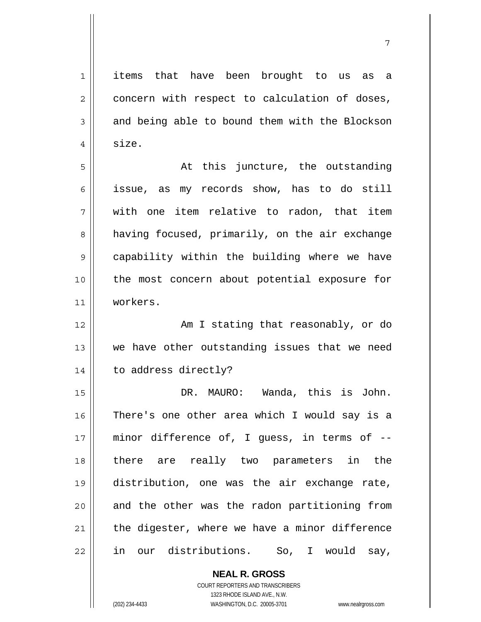1 items that have been brought to us as a  $2 \parallel$  concern with respect to calculation of doses,  $3 \parallel$  and being able to bound them with the Blockson  $4 \parallel$  size. 5 At this juncture, the outstanding 6 || issue, as my records show, has to do still  $7$   $\parallel$  with one item relative to radon, that item 8 | having focused, primarily, on the air exchange 9 || capability within the building where we have 10 || the most concern about potential exposure for 11 workers. 12 || The Solomon Communist Characterization of the Solomon Communist Communist Communist Communist Communist Co 13 || we have other outstanding issues that we need 14 | to address directly? 15 DR. MAURO: Wanda, this is John. 16 There's one other area which I would say is a 17 minor difference of, I guess, in terms of --18 there are really two parameters in the 19 distribution, one was the air exchange rate,  $20$  and the other was the radon partitioning from  $21$  | the digester, where we have a minor difference 22 in our distributions. So, I would say,

7

 **NEAL R. GROSS** COURT REPORTERS AND TRANSCRIBERS

1323 RHODE ISLAND AVE., N.W.

(202) 234-4433 WASHINGTON, D.C. 20005-3701 www.nealrgross.com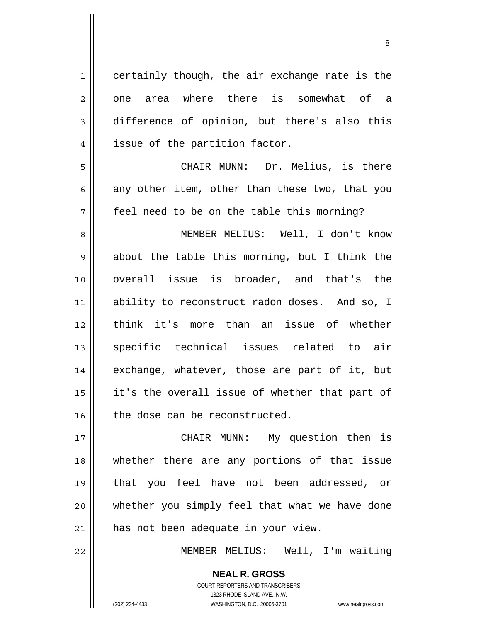1 certainly though, the air exchange rate is the  $2 \parallel$  one area where there is somewhat of a 3 difference of opinion, but there's also this 4 || issue of the partition factor. 5 CHAIR MUNN: Dr. Melius, is there 6 any other item, other than these two, that you 7 || feel need to be on the table this morning? 8 MEMBER MELIUS: Well, I don't know  $9 \parallel$  about the table this morning, but I think the 10 overall issue is broader, and that's the 11 ability to reconstruct radon doses. And so, I 12 think it's more than an issue of whether 13 || specific technical issues related to air 14 || exchange, whatever, those are part of it, but 15 || it's the overall issue of whether that part of  $16$  the dose can be reconstructed. 17 || CHAIR MUNN: My question then is 18 whether there are any portions of that issue 19 that you feel have not been addressed, or 20 whether you simply feel that what we have done

21 || has not been adequate in your view.

22 MEMBER MELIUS: Well, I'm waiting

 COURT REPORTERS AND TRANSCRIBERS 1323 RHODE ISLAND AVE., N.W. (202) 234-4433 WASHINGTON, D.C. 20005-3701 www.nealrgross.com

 **NEAL R. GROSS**

<u>83 - Santa Carlos de Santa Carlos de Santa Carlos de Santa Carlos de Santa Carlos de Santa Carlos de Santa Ca</u>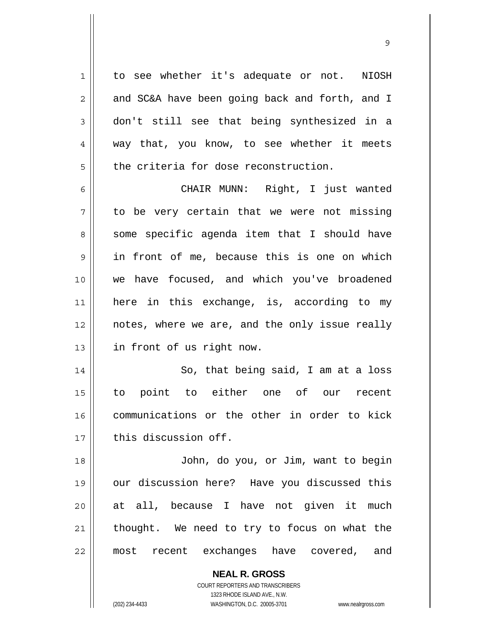1 to see whether it's adequate or not. NIOSH  $2 \parallel$  and SC&A have been going back and forth, and I 3 don't still see that being synthesized in a 4 way that, you know, to see whether it meets  $5$   $\parallel$  the criteria for dose reconstruction.

9

CHAIR MUNN: Right, I just wanted  $7 \parallel$  to be very certain that we were not missing 8 || some specific agenda item that I should have in front of me, because this is one on which we have focused, and which you've broadened here in this exchange, is, according to my | notes, where we are, and the only issue really 13 | in front of us right now.

14 || So, that being said, I am at a loss 15 to point to either one of our recent 16 communications or the other in order to kick 17 | this discussion off.

John, do you, or Jim, want to begin our discussion here? Have you discussed this at all, because I have not given it much 21 || thought. We need to try to focus on what the most recent exchanges have covered, and

> **NEAL R. GROSS** COURT REPORTERS AND TRANSCRIBERS 1323 RHODE ISLAND AVE., N.W. (202) 234-4433 WASHINGTON, D.C. 20005-3701 www.nealrgross.com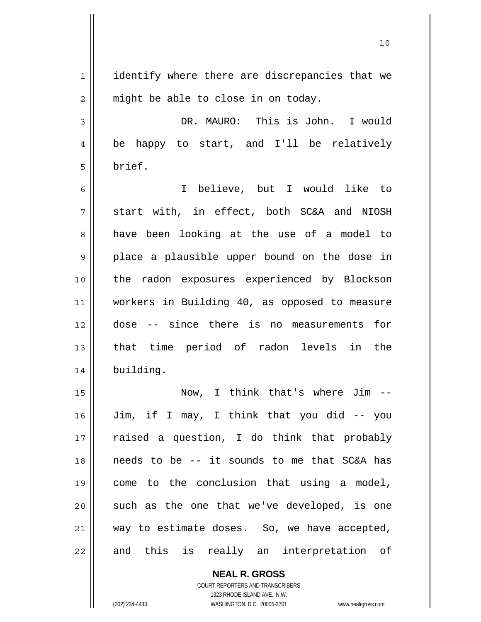1 | identify where there are discrepancies that we  $2 \parallel$  might be able to close in on today. 3 DR. MAURO: This is John. I would 4 be happy to start, and I'll be relatively 5 brief. 6 I believe, but I would like to  $7$  start with, in effect, both SC&A and NIOSH 8 and a have been looking at the use of a model to 9 || place a plausible upper bound on the dose in 10 || the radon exposures experienced by Blockson 11 workers in Building 40, as opposed to measure 12 dose -- since there is no measurements for 13 || that time period of radon levels in the 14 building. 15 Now, I think that's where Jim -- 16 Jim, if I may, I think that you did -- you 17 || raised a question, I do think that probably 18 needs to be -- it sounds to me that SC&A has 19 come to the conclusion that using a model,  $20$  such as the one that we've developed, is one 21 || way to estimate doses. So, we have accepted,

22 || and this is really an interpretation of

 **NEAL R. GROSS** COURT REPORTERS AND TRANSCRIBERS 1323 RHODE ISLAND AVE., N.W. (202) 234-4433 WASHINGTON, D.C. 20005-3701 www.nealrgross.com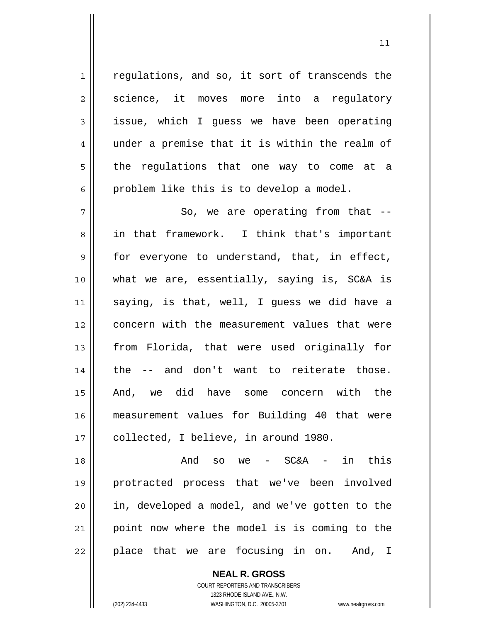$1$  regulations, and so, it sort of transcends the  $2 \parallel$  science, it moves more into a requlatory  $3 \parallel$  issue, which I quess we have been operating 4 under a premise that it is within the realm of  $5 \parallel$  the regulations that one way to come at a  $6 \parallel$  problem like this is to develop a model.

 $11$ 

 $7 \parallel$  So, we are operating from that  $-$ 8 in that framework. I think that's important 9 for everyone to understand, that, in effect, 10 what we are, essentially, saying is, SC&A is 11 saying, is that, well, I guess we did have a 12 || concern with the measurement values that were 13 || from Florida, that were used originally for  $14$  | the  $-$  and don't want to reiterate those. 15 And, we did have some concern with the 16 measurement values for Building 40 that were 17 || collected, I believe, in around 1980.

 $18 \parallel$  and so we - SC&A - in this protracted process that we've been involved || in, developed a model, and we've gotten to the point now where the model is is coming to the || place that we are focusing in on. And, I

> **NEAL R. GROSS** COURT REPORTERS AND TRANSCRIBERS 1323 RHODE ISLAND AVE., N.W. (202) 234-4433 WASHINGTON, D.C. 20005-3701 www.nealrgross.com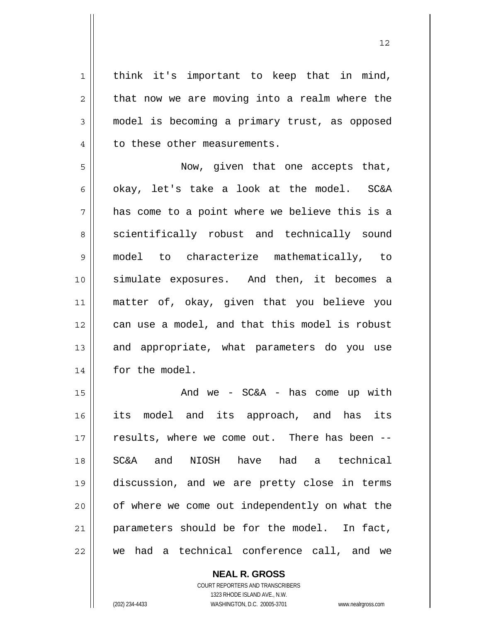1 || think it's important to keep that in mind,  $2 \parallel$  that now we are moving into a realm where the 3 model is becoming a primary trust, as opposed 4 | to these other measurements.

5 Now, given that one accepts that, 6 okay, let's take a look at the model.  $SC&A$  $7 \parallel$  has come to a point where we believe this is a 8 || scientifically robust and technically sound 9 model to characterize mathematically, to 10 || simulate exposures. And then, it becomes a 11 matter of, okay, given that you believe you 12 can use a model, and that this model is robust 13 || and appropriate, what parameters do you use 14 | for the model.

And we - SC&A - has come up with its model and its approach, and has its 17 || results, where we come out. There has been --SC&A and NIOSH have had a technical discussion, and we are pretty close in terms 20 || of where we come out independently on what the parameters should be for the model. In fact, we had a technical conference call, and we

> **NEAL R. GROSS** COURT REPORTERS AND TRANSCRIBERS 1323 RHODE ISLAND AVE., N.W. (202) 234-4433 WASHINGTON, D.C. 20005-3701 www.nealrgross.com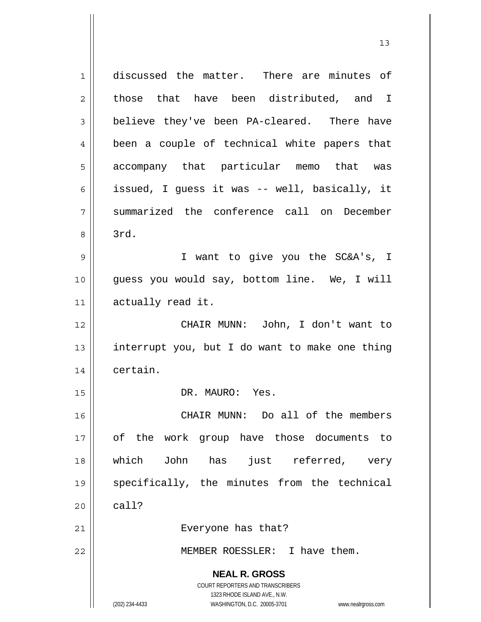**NEAL R. GROSS** COURT REPORTERS AND TRANSCRIBERS 1323 RHODE ISLAND AVE., N.W. (202) 234-4433 WASHINGTON, D.C. 20005-3701 www.nealrgross.com 1 discussed the matter. There are minutes of  $2 \parallel$  those that have been distributed, and I 3 believe they've been PA-cleared. There have 4 || been a couple of technical white papers that 5 || accompany that particular memo that was 6 || issued, I quess it was -- well, basically, it 7 summarized the conference call on December  $8 \parallel$  3rd. 9 I want to give you the SC&A's, I 10 guess you would say, bottom line. We, I will 11 actually read it. 12 CHAIR MUNN: John, I don't want to 13  $\parallel$  interrupt you, but I do want to make one thing 14 certain. 15 || DR. MAURO: Yes. 16 || CHAIR MUNN: Do all of the members 17 of the work group have those documents to 18 which John has just referred, very 19 specifically, the minutes from the technical  $20$   $\vert$  call? 21 || Everyone has that? 22 MEMBER ROESSLER: I have them.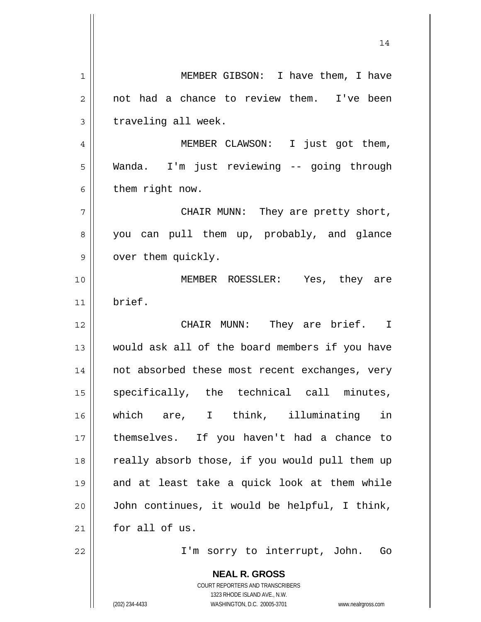**NEAL R. GROSS** COURT REPORTERS AND TRANSCRIBERS 1323 RHODE ISLAND AVE., N.W. 14 1 MEMBER GIBSON: I have them, I have 2 || not had a chance to review them. I've been  $3 \parallel$  traveling all week. 4 MEMBER CLAWSON: I just got them, 5 Wanda. I'm just reviewing -- going through  $6$  | them right now. 7 CHAIR MUNN: They are pretty short, 8 you can pull them up, probably, and glance 9 | over them quickly. 10 MEMBER ROESSLER: Yes, they are 11 brief. 12 CHAIR MUNN: They are brief. I 13 would ask all of the board members if you have 14 not absorbed these most recent exchanges, very 15 || specifically, the technical call minutes, 16 which are, I think, illuminating in 17 themselves. If you haven't had a chance to 18 || really absorb those, if you would pull them up 19 and at least take a quick look at them while 20 John continues, it would be helpful, I think, 21 for all of us. 22 || T'm sorry to interrupt, John. Go

(202) 234-4433 WASHINGTON, D.C. 20005-3701 www.nealrgross.com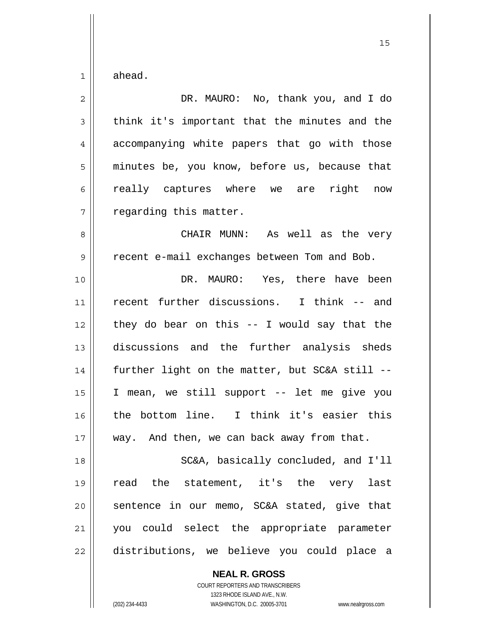$1 \parallel$  ahead.

| $\overline{2}$ | DR. MAURO: No, thank you, and I do             |
|----------------|------------------------------------------------|
| 3              | think it's important that the minutes and the  |
| 4              | accompanying white papers that go with those   |
| 5              | minutes be, you know, before us, because that  |
| 6              | really captures where we are right now         |
| 7              | regarding this matter.                         |
| 8              | CHAIR MUNN: As well as the very                |
| $\mathsf 9$    | recent e-mail exchanges between Tom and Bob.   |
| 10             | DR. MAURO: Yes, there have been                |
| 11             | recent further discussions. I think -- and     |
| 12             | they do bear on this $-$ I would say that the  |
| 13             | discussions and the further analysis sheds     |
| 14             | further light on the matter, but SC&A still -- |
| 15             | I mean, we still support -- let me give you    |
| 16             | the bottom line. I think it's easier this      |
| 17             | way. And then, we can back away from that.     |
| 18             | SC&A, basically concluded, and I'll            |
| 19             | the statement, it's the very last<br>read      |
| 20             | sentence in our memo, SC&A stated, give that   |
| 21             | you could select the appropriate parameter     |
| 22             | distributions, we believe you could place a    |

 **NEAL R. GROSS** COURT REPORTERS AND TRANSCRIBERS

1323 RHODE ISLAND AVE., N.W.

(202) 234-4433 WASHINGTON, D.C. 20005-3701 www.nealrgross.com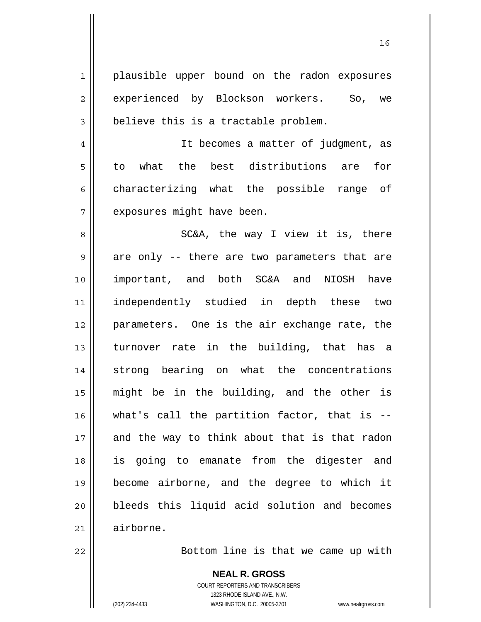1 || plausible upper bound on the radon exposures 2 experienced by Blockson workers. So, we  $3 \parallel$  believe this is a tractable problem. 4 || It becomes a matter of judgment, as 5 to what the best distributions are for  $6 \parallel$  characterizing what the possible range of 7 | exposures might have been. 8 SC&A, the way I view it is, there  $9 \parallel$  are only -- there are two parameters that are 10 important, and both SC&A and NIOSH have 11 independently studied in depth these two 12 parameters. One is the air exchange rate, the 13 || turnover rate in the building, that has a 14 Strong bearing on what the concentrations 15 might be in the building, and the other is 16 what's call the partition factor, that is -- 17 and the way to think about that is that radon 18 is going to emanate from the digester and 19 become airborne, and the degree to which it 20 **bleeds** this liquid acid solution and becomes 21 airborne.

22 || Bottom line is that we came up with

 **NEAL R. GROSS** COURT REPORTERS AND TRANSCRIBERS 1323 RHODE ISLAND AVE., N.W. (202) 234-4433 WASHINGTON, D.C. 20005-3701 www.nealrgross.com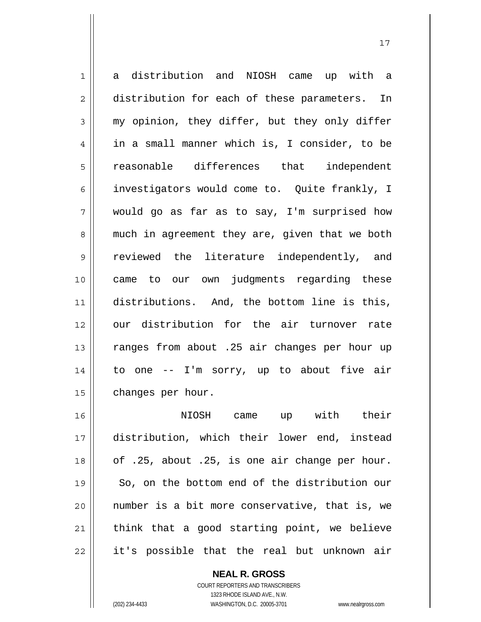1 a distribution and NIOSH came up with a 2 distribution for each of these parameters. In  $3 \parallel$  my opinion, they differ, but they only differ 4 in a small manner which is, I consider, to be 5 reasonable differences that independent 6 investigators would come to. Quite frankly, I 7 would go as far as to say, I'm surprised how 8 || much in agreement they are, given that we both 9 || reviewed the literature independently, and 10 came to our own judgments regarding these 11 distributions. And, the bottom line is this, 12 || our distribution for the air turnover rate 13 || ranges from about .25 air changes per hour up 14 || to one -- I'm sorry, up to about five air 15 | changes per hour. 16 NIOSH came up with their

distribution, which their lower end, instead  $\vert$  of .25, about .25, is one air change per hour. 19 || So, on the bottom end of the distribution our number is a bit more conservative, that is, we think that a good starting point, we believe 22 || it's possible that the real but unknown air

 **NEAL R. GROSS**

 COURT REPORTERS AND TRANSCRIBERS 1323 RHODE ISLAND AVE., N.W. (202) 234-4433 WASHINGTON, D.C. 20005-3701 www.nealrgross.com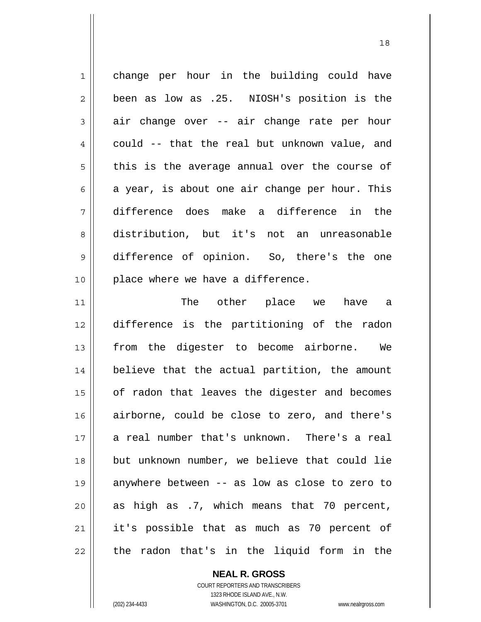1 || change per hour in the building could have  $2 \parallel$  been as low as .25. NIOSH's position is the  $3 \parallel$  air change over -- air change rate per hour  $4 \parallel$  could -- that the real but unknown value, and  $5$  || this is the average annual over the course of  $6 \parallel$  a year, is about one air change per hour. This 7 difference does make a difference in the 8 distribution, but it's not an unreasonable 9 difference of opinion. So, there's the one 10 || place where we have a difference. 11 The other place we have a 12 difference is the partitioning of the radon 13 || from the digester to become airborne. We 14 believe that the actual partition, the amount 15 | of radon that leaves the digester and becomes 16 airborne, could be close to zero, and there's 17 a real number that's unknown. There's a real 18 || but unknown number, we believe that could lie 19 anywhere between -- as low as close to zero to 20  $\parallel$  as high as .7, which means that 70 percent, 21 it's possible that as much as 70 percent of

18

 $22$  || the radon that's in the liquid form in the

 **NEAL R. GROSS**

 COURT REPORTERS AND TRANSCRIBERS 1323 RHODE ISLAND AVE., N.W. (202) 234-4433 WASHINGTON, D.C. 20005-3701 www.nealrgross.com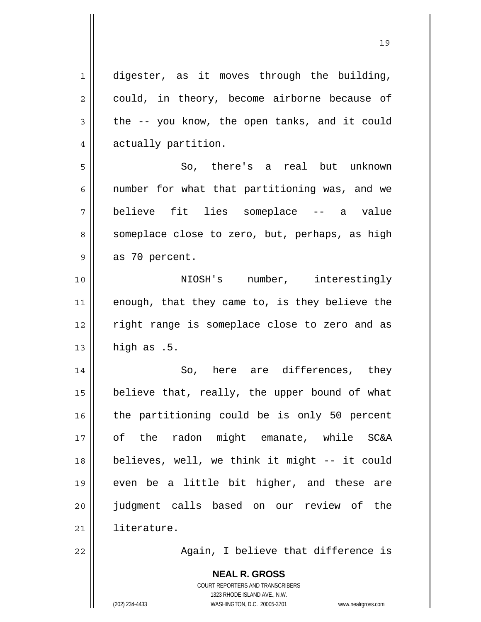$1 \parallel$  digester, as it moves through the building,  $2 \parallel$  could, in theory, become airborne because of  $3 \parallel$  the -- you know, the open tanks, and it could 4 actually partition. 5 || So, there's a real but unknown 6  $\parallel$  number for what that partitioning was, and we 7 believe fit lies someplace -- a value 8 || someplace close to zero, but, perhaps, as high  $9 \parallel$  as 70 percent. 10 NIOSH's number, interestingly 11 || enough, that they came to, is they believe the 12 || right range is someplace close to zero and as  $13$  high as .5. 14 || So, here are differences, they 15  $\parallel$  believe that, really, the upper bound of what  $16$  the partitioning could be is only 50 percent 17 of the radon might emanate, while SC&A 18 believes, well, we think it might -- it could 19 even be a little bit higher, and these are 20 judgment calls based on our review of the 21 literature. 22 || Again, I believe that difference is

> COURT REPORTERS AND TRANSCRIBERS 1323 RHODE ISLAND AVE., N.W. (202) 234-4433 WASHINGTON, D.C. 20005-3701 www.nealrgross.com

 **NEAL R. GROSS**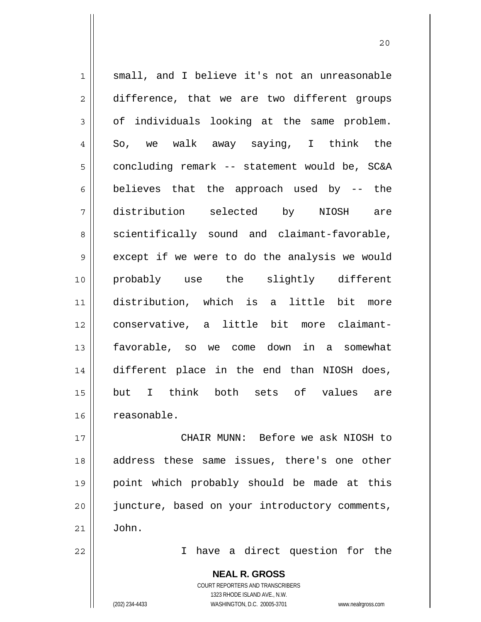1 || small, and I believe it's not an unreasonable 2 difference, that we are two different groups  $3 \parallel$  of individuals looking at the same problem.  $4 \parallel$  So, we walk away saying, I think the 5 | concluding remark -- statement would be, SC&A 6 believes that the approach used by  $-$ - the 7 distribution selected by NIOSH are  $8 \parallel$  scientifically sound and claimant-favorable,  $9 \parallel$  except if we were to do the analysis we would 10 probably use the slightly different 11 distribution, which is a little bit more 12 conservative, a little bit more claimant-13 favorable, so we come down in a somewhat 14 different place in the end than NIOSH does, 15 but I think both sets of values are 16 | reasonable.

17 CHAIR MUNN: Before we ask NIOSH to 18 || address these same issues, there's one other 19 point which probably should be made at this 20 || juncture, based on your introductory comments,  $21 \parallel$  John.

22 || Thave a direct question for the

 **NEAL R. GROSS** COURT REPORTERS AND TRANSCRIBERS 1323 RHODE ISLAND AVE., N.W. (202) 234-4433 WASHINGTON, D.C. 20005-3701 www.nealrgross.com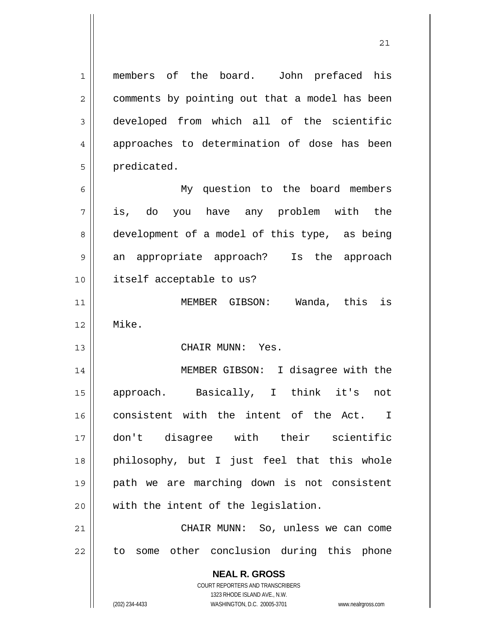1 members of the board. John prefaced his 2 | comments by pointing out that a model has been 3 developed from which all of the scientific 4 || approaches to determination of dose has been 5 | predicated.

6 My question to the board members 7 is, do you have any problem with the 8 development of a model of this type, as being 9 an appropriate approach? Is the approach 10 itself acceptable to us?

11 MEMBER GIBSON: Wanda, this is 12 Mike.

13 CHAIR MUNN: Yes.

14 || MEMBER GIBSON: I disagree with the 15 approach. Basically, I think it's not 16 || consistent with the intent of the Act. I 17 don't disagree with their scientific 18 philosophy, but I just feel that this whole 19 path we are marching down is not consistent 20 || with the intent of the legislation.

21 CHAIR MUNN: So, unless we can come  $22$  || to some other conclusion during this phone

> **NEAL R. GROSS** COURT REPORTERS AND TRANSCRIBERS 1323 RHODE ISLAND AVE., N.W. (202) 234-4433 WASHINGTON, D.C. 20005-3701 www.nealrgross.com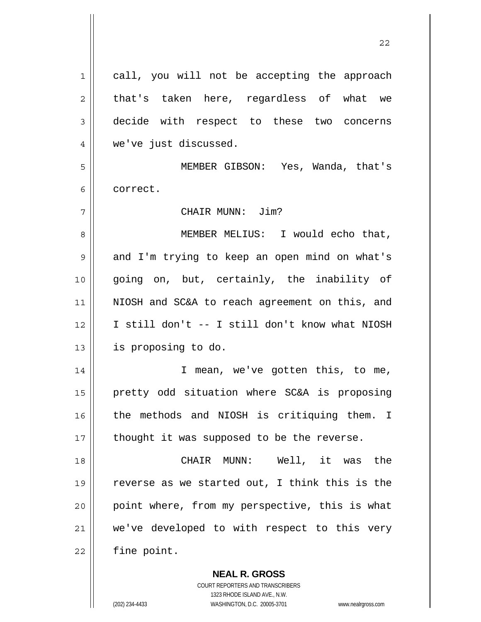| 1  | call, you will not be accepting the approach   |
|----|------------------------------------------------|
| 2  | that's taken here, regardless of what we       |
| 3  | decide with respect to these two concerns      |
| 4  | we've just discussed.                          |
| 5  | MEMBER GIBSON: Yes, Wanda, that's              |
| 6  | correct.                                       |
| 7  | CHAIR MUNN: Jim?                               |
| 8  | MEMBER MELIUS: I would echo that,              |
| 9  | and I'm trying to keep an open mind on what's  |
| 10 | going on, but, certainly, the inability of     |
| 11 | NIOSH and SC&A to reach agreement on this, and |
| 12 | I still don't -- I still don't know what NIOSH |
| 13 | is proposing to do.                            |
| 14 | I mean, we've gotten this, to me,              |
| 15 | pretty odd situation where SC&A is proposing   |
| 16 | the methods and NIOSH is critiquing them. I    |
| 17 | thought it was supposed to be the reverse.     |
| 18 | CHAIR MUNN: Well, it was the                   |
| 19 | reverse as we started out, I think this is the |
| 20 | point where, from my perspective, this is what |
| 21 | we've developed to with respect to this very   |
| 22 | fine point.                                    |
|    | <b>NEAL R. GROSS</b>                           |

 COURT REPORTERS AND TRANSCRIBERS 1323 RHODE ISLAND AVE., N.W.

 $\mathsf{II}$ 

(202) 234-4433 WASHINGTON, D.C. 20005-3701 www.nealrgross.com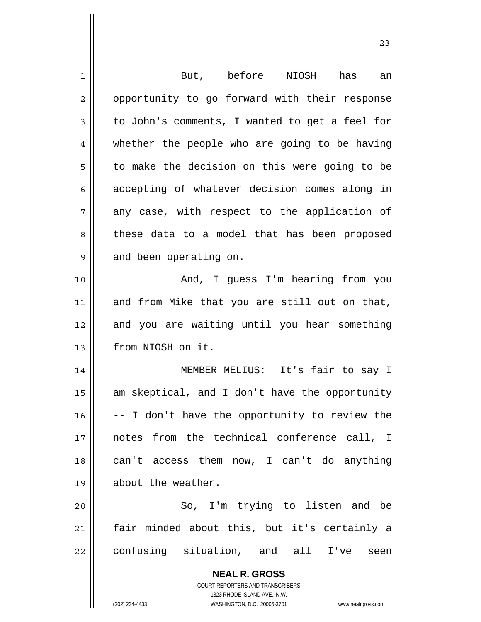| $\mathbf 1$ | But, before NIOSH has<br>an                                                                         |
|-------------|-----------------------------------------------------------------------------------------------------|
| 2           | opportunity to go forward with their response                                                       |
| 3           | to John's comments, I wanted to get a feel for                                                      |
| 4           | whether the people who are going to be having                                                       |
| 5           | to make the decision on this were going to be                                                       |
| 6           | accepting of whatever decision comes along in                                                       |
| 7           | any case, with respect to the application of                                                        |
| 8           | these data to a model that has been proposed                                                        |
| 9           | and been operating on.                                                                              |
| 10          | And, I guess I'm hearing from you                                                                   |
| 11          | and from Mike that you are still out on that,                                                       |
| 12          | and you are waiting until you hear something                                                        |
| 13          | from NIOSH on it.                                                                                   |
| 14          | MEMBER MELIUS: It's fair to say I                                                                   |
| 15          | am skeptical, and I don't have the opportunity                                                      |
| 16          | -- I don't have the opportunity to review the                                                       |
| 17          | notes from the technical conference call, I                                                         |
| 18          | can't access them now, I can't do anything                                                          |
| 19          | about the weather.                                                                                  |
| 20          | So, I'm trying to listen and be                                                                     |
| 21          | fair minded about this, but it's certainly a                                                        |
| 22          | confusing situation, and all I've<br>seen                                                           |
|             | <b>NEAL R. GROSS</b>                                                                                |
|             | <b>COURT REPORTERS AND TRANSCRIBERS</b>                                                             |
|             | 1323 RHODE ISLAND AVE., N.W.<br>(202) 234-4433<br>WASHINGTON, D.C. 20005-3701<br>www.nealrgross.com |
|             |                                                                                                     |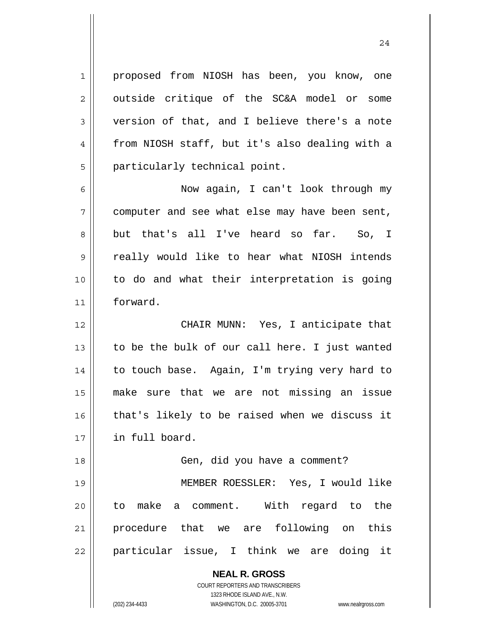1 || proposed from NIOSH has been, you know, one  $2 \parallel$  outside critique of the SC&A model or some 3 version of that, and I believe there's a note 4 | from NIOSH staff, but it's also dealing with a 5 | particularly technical point.

Now again, I can't look through my computer and see what else may have been sent, 8 but that's all I've heard so far. So, I 9 || really would like to hear what NIOSH intends to do and what their interpretation is going forward.

CHAIR MUNN: Yes, I anticipate that  $\parallel$  to be the bulk of our call here. I just wanted 14 || to touch base. Again, I'm trying very hard to make sure that we are not missing an issue 16 || that's likely to be raised when we discuss it in full board.

18 || Gen, did you have a comment? MEMBER ROESSLER: Yes, I would like to make a comment. With regard to the procedure that we are following on this particular issue, I think we are doing it

> **NEAL R. GROSS** COURT REPORTERS AND TRANSCRIBERS 1323 RHODE ISLAND AVE., N.W. (202) 234-4433 WASHINGTON, D.C. 20005-3701 www.nealrgross.com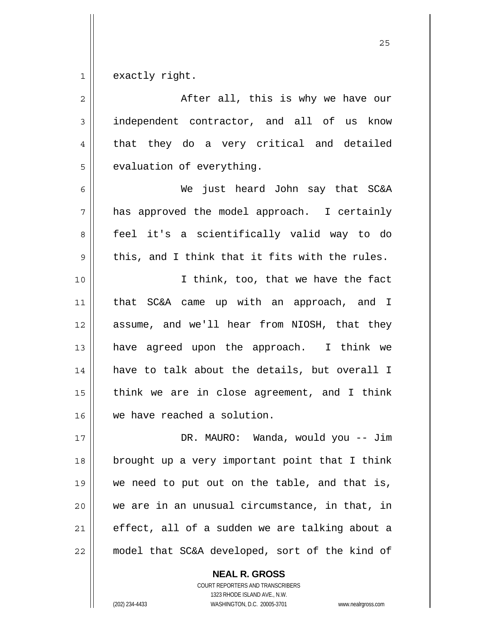$1 \parallel$  exactly right.

| $\overline{2}$ | After all, this is why we have our             |
|----------------|------------------------------------------------|
| $\mathfrak{Z}$ | independent contractor, and all of us know     |
| $\overline{4}$ | that they do a very critical and detailed      |
| 5              | evaluation of everything.                      |
| 6              | We just heard John say that SC&A               |
| 7              | has approved the model approach. I certainly   |
| 8              | feel it's a scientifically valid way to do     |
| 9              | this, and I think that it fits with the rules. |
| 10             | I think, too, that we have the fact            |
| 11             | SC&A came up with an approach, and I<br>that   |
| 12             | assume, and we'll hear from NIOSH, that they   |
| 13             | have agreed upon the approach. I think we      |
| 14             | have to talk about the details, but overall I  |
| 15             | think we are in close agreement, and I think   |
| 16             | we have reached a solution.                    |
| 17             | DR. MAURO: Wanda, would you -- Jim             |
| 18             | brought up a very important point that I think |
| 19             | we need to put out on the table, and that is,  |
| 20             | we are in an unusual circumstance, in that, in |
| 21             | effect, all of a sudden we are talking about a |
| 22             | model that SC&A developed, sort of the kind of |

 **NEAL R. GROSS** COURT REPORTERS AND TRANSCRIBERS 1323 RHODE ISLAND AVE., N.W.

(202) 234-4433 WASHINGTON, D.C. 20005-3701 www.nealrgross.com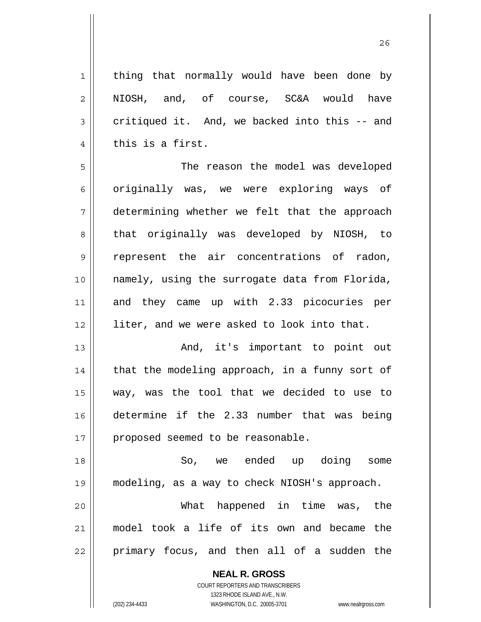1 || thing that normally would have been done by  $2 \parallel$  NIOSH, and, of course, SC&A would have  $3 \parallel$  critiqued it. And, we backed into this -- and  $4 \parallel$  this is a first. 5 The reason the model was developed 6 originally was, we were exploring ways of 7 determining whether we felt that the approach 8 || that originally was developed by NIOSH, to 9 represent the air concentrations of radon, 10 namely, using the surrogate data from Florida, 11 and they came up with 2.33 picocuries per 12 || liter, and we were asked to look into that. 13 And, it's important to point out  $14$  || that the modeling approach, in a funny sort of 15 way, was the tool that we decided to use to 16 determine if the 2.33 number that was being 17 || proposed seemed to be reasonable. 18 So, we ended up doing some 19 modeling, as a way to check NIOSH's approach. 20 What happened in time was, the 21 model took a life of its own and became the

 $22$  || primary focus, and then all of a sudden the

 **NEAL R. GROSS** COURT REPORTERS AND TRANSCRIBERS

1323 RHODE ISLAND AVE., N.W.

(202) 234-4433 WASHINGTON, D.C. 20005-3701 www.nealrgross.com

<u>26</u>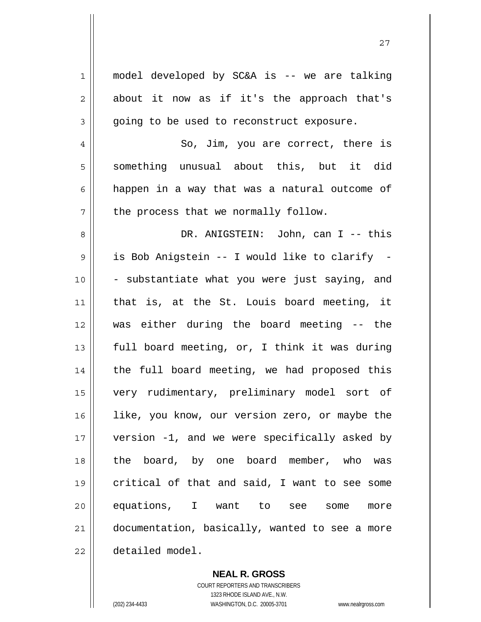1 || model developed by SC&A is -- we are talking  $2 \parallel$  about it now as if it's the approach that's  $3 \parallel$  going to be used to reconstruct exposure. 4 || So, Jim, you are correct, there is  $5 \parallel$  something unusual about this, but it did  $6 \parallel$  happen in a way that was a natural outcome of  $7 \parallel$  the process that we normally follow. 8 DR. ANIGSTEIN: John, can I -- this 9 || is Bob Anigstein -- I would like to clarify - $10$  | - substantiate what you were just saying, and 11 that is, at the St. Louis board meeting, it 12 was either during the board meeting -- the 13  $\parallel$  full board meeting, or, I think it was during 14 || the full board meeting, we had proposed this 15 very rudimentary, preliminary model sort of 16 || like, you know, our version zero, or maybe the 17 version -1, and we were specifically asked by 18 the board, by one board member, who was 19 critical of that and said, I want to see some 20 equations, I want to see some more 21 documentation, basically, wanted to see a more 22 detailed model.

27

 **NEAL R. GROSS**

 COURT REPORTERS AND TRANSCRIBERS 1323 RHODE ISLAND AVE., N.W. (202) 234-4433 WASHINGTON, D.C. 20005-3701 www.nealrgross.com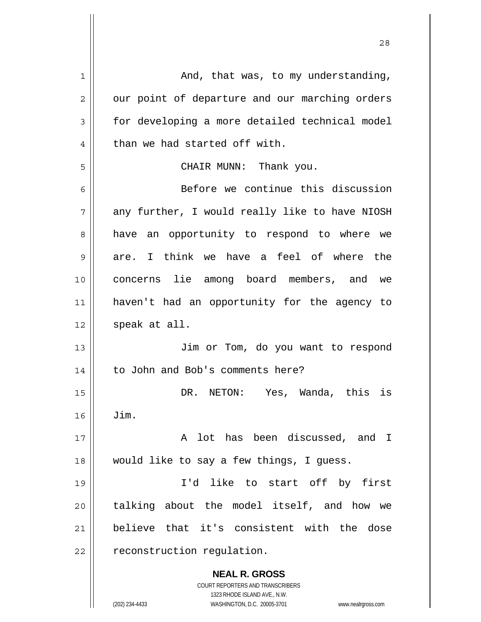| 1              | And, that was, to my understanding,                                 |
|----------------|---------------------------------------------------------------------|
| $\overline{2}$ | our point of departure and our marching orders                      |
| 3              | for developing a more detailed technical model                      |
| 4              | than we had started off with.                                       |
| 5              | CHAIR MUNN: Thank you.                                              |
| 6              | Before we continue this discussion                                  |
| 7              | any further, I would really like to have NIOSH                      |
| 8              | have an opportunity to respond to where we                          |
| 9              | are. I think we have a feel of where the                            |
| 10             | concerns lie among board members, and we                            |
| 11             | haven't had an opportunity for the agency to                        |
| 12             | speak at all.                                                       |
| 13             | Jim or Tom, do you want to respond                                  |
| 14             | to John and Bob's comments here?                                    |
| 15             | DR. NETON: Yes, Wanda, this is                                      |
| 16             | Jim.                                                                |
| 17             | A lot has been discussed, and I                                     |
| 18             | would like to say a few things, I guess.                            |
| 19             | I'd like to start off by first                                      |
| 20             | talking about the model itself, and how we                          |
| 21             | believe that it's consistent with the dose                          |
| 22             | reconstruction regulation.                                          |
|                |                                                                     |
|                | <b>NEAL R. GROSS</b><br>COURT REPORTERS AND TRANSCRIBERS            |
|                | 1323 RHODE ISLAND AVE., N.W.                                        |
|                | (202) 234-4433<br>WASHINGTON, D.C. 20005-3701<br>www.nealrgross.com |

 $\mathbf{I}$ 

 $\mathop{\text{||}}$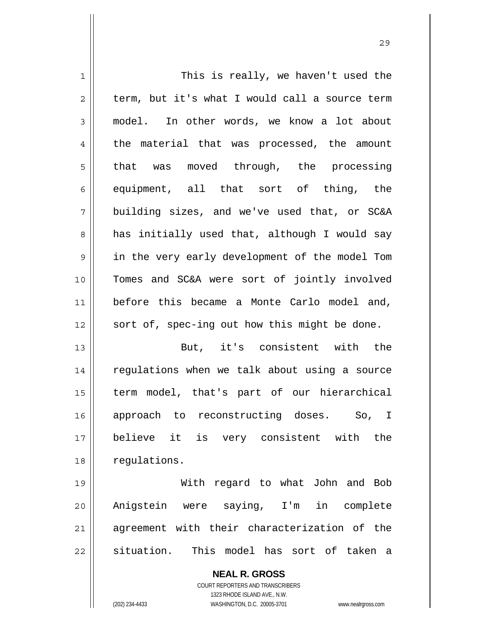| 1              | This is really, we haven't used the            |
|----------------|------------------------------------------------|
| $\overline{2}$ | term, but it's what I would call a source term |
| 3              | model. In other words, we know a lot about     |
| $\overline{4}$ | the material that was processed, the amount    |
| 5              | that was moved through, the processing         |
| 6              | equipment, all that sort of thing, the         |
| 7              | building sizes, and we've used that, or SC&A   |
| 8              | has initially used that, although I would say  |
| $\mathsf 9$    | in the very early development of the model Tom |
| 10             | Tomes and SC&A were sort of jointly involved   |
| 11             | before this became a Monte Carlo model and,    |
| 12             | sort of, spec-ing out how this might be done.  |
| 13             | But, it's consistent with the                  |
| 14             | regulations when we talk about using a source  |
| 15             | term model, that's part of our hierarchical    |
| 16             | approach to reconstructing doses. So, I        |
| 17             | believe it is very consistent with the         |
| 18             | regulations.                                   |
| 19             | With regard to what John and Bob               |
| 20             | Anigstein were saying, I'm in complete         |
| 21             | agreement with their characterization of the   |
|                |                                                |

situation. This model has sort of taken a

 **NEAL R. GROSS** COURT REPORTERS AND TRANSCRIBERS

1323 RHODE ISLAND AVE., N.W.

(202) 234-4433 WASHINGTON, D.C. 20005-3701 www.nealrgross.com

 $\mathbf{I}$ 

<u>29</u>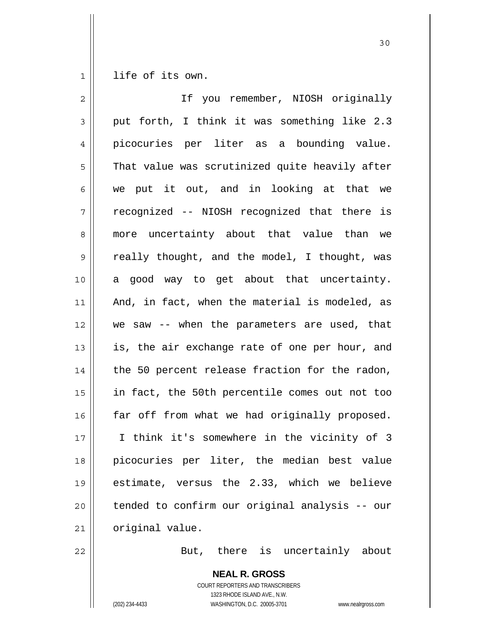1 life of its own.

| $\overline{2}$ | If you remember, NIOSH originally              |
|----------------|------------------------------------------------|
| 3              | put forth, I think it was something like 2.3   |
| 4              | picocuries per liter as a bounding value.      |
| 5              | That value was scrutinized quite heavily after |
| 6              | we put it out, and in looking at that we       |
| 7              | recognized -- NIOSH recognized that there is   |
| 8              | more uncertainty about that value than we      |
| $\mathsf 9$    | really thought, and the model, I thought, was  |
| 10             | a good way to get about that uncertainty.      |
| 11             | And, in fact, when the material is modeled, as |
| 12             | we saw -- when the parameters are used, that   |
| 13             | is, the air exchange rate of one per hour, and |
| 14             | the 50 percent release fraction for the radon, |
| 15             | in fact, the 50th percentile comes out not too |
| 16             | far off from what we had originally proposed.  |
| 17             | I think it's somewhere in the vicinity of 3    |
| 18             | picocuries per liter, the median best value    |
| 19             | estimate, versus the 2.33, which we believe    |
| 20             | tended to confirm our original analysis -- our |
| 21             | original value.                                |
|                |                                                |

22 | Rut, there is uncertainly about

 **NEAL R. GROSS** COURT REPORTERS AND TRANSCRIBERS 1323 RHODE ISLAND AVE., N.W. (202) 234-4433 WASHINGTON, D.C. 20005-3701 www.nealrgross.com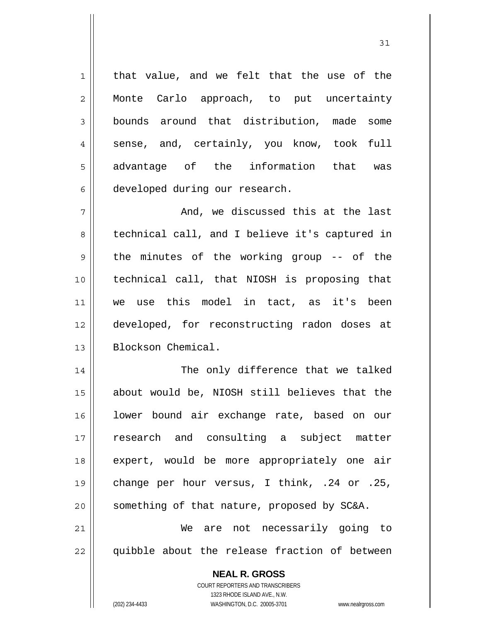$1 \parallel$  that value, and we felt that the use of the 2 || Monte Carlo approach, to put uncertainty 3 | bounds around that distribution, made some  $4 \parallel$  sense, and, certainly, you know, took full 5 || advantage of the information that was 6 developed during our research.

 $7 \parallel$  and, we discussed this at the last 8 || technical call, and I believe it's captured in  $9 \parallel$  the minutes of the working group -- of the 10 technical call, that NIOSH is proposing that 11 we use this model in tact, as it's been 12 developed, for reconstructing radon doses at 13 Blockson Chemical.

The only difference that we talked about would be, NIOSH still believes that the lower bound air exchange rate, based on our research and consulting a subject matter expert, would be more appropriately one air 19 || change per hour versus, I think, .24 or .25, | something of that nature, proposed by SC&A. We are not necessarily going to

 $22$  || quibble about the release fraction of between

 COURT REPORTERS AND TRANSCRIBERS 1323 RHODE ISLAND AVE., N.W. (202) 234-4433 WASHINGTON, D.C. 20005-3701 www.nealrgross.com

 **NEAL R. GROSS**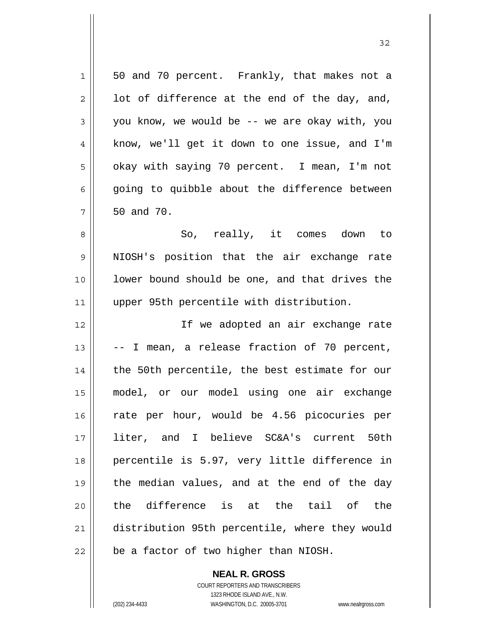| 1           | 50 and 70 percent. Frankly, that makes not a   |
|-------------|------------------------------------------------|
| 2           | lot of difference at the end of the day, and,  |
| 3           | you know, we would be -- we are okay with, you |
| 4           | know, we'll get it down to one issue, and I'm  |
| 5           | okay with saying 70 percent. I mean, I'm not   |
| 6           | going to quibble about the difference between  |
| 7           | 50 and 70.                                     |
| 8           | So, really, it comes down to                   |
| $\mathsf 9$ | NIOSH's position that the air exchange rate    |
| 10          | lower bound should be one, and that drives the |
| 11          | upper 95th percentile with distribution.       |
| 12          | If we adopted an air exchange rate             |
| 13          | -- I mean, a release fraction of 70 percent,   |
| 14          | the 50th percentile, the best estimate for our |
| 15          | model, or our model using one air exchange     |
| 16          | rate per hour, would be 4.56 picocuries per    |
| 17          | liter, and I believe SC&A's current<br>50th    |
| 18          | percentile is 5.97, very little difference in  |
| 19          | the median values, and at the end of the day   |
| 20          | the difference is at the tail of the           |
| 21          | distribution 95th percentile, where they would |
|             |                                                |

 **NEAL R. GROSS** COURT REPORTERS AND TRANSCRIBERS 1323 RHODE ISLAND AVE., N.W.

 $\mathsf{I}$ 

(202) 234-4433 WASHINGTON, D.C. 20005-3701 www.nealrgross.com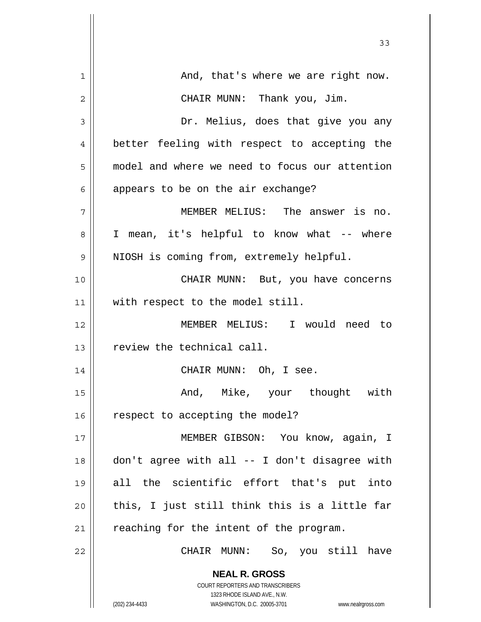|             | 33                                                                  |
|-------------|---------------------------------------------------------------------|
| $\mathbf 1$ | And, that's where we are right now.                                 |
| 2           | CHAIR MUNN: Thank you, Jim.                                         |
| 3           | Dr. Melius, does that give you any                                  |
| 4           | better feeling with respect to accepting the                        |
| 5           | model and where we need to focus our attention                      |
| 6           | appears to be on the air exchange?                                  |
| 7           | MEMBER MELIUS: The answer is no.                                    |
| 8           | I mean, it's helpful to know what -- where                          |
| 9           | NIOSH is coming from, extremely helpful.                            |
| 10          | CHAIR MUNN: But, you have concerns                                  |
| 11          | with respect to the model still.                                    |
| 12          | MEMBER MELIUS: I would need to                                      |
| 13          | review the technical call.                                          |
| 14          | CHAIR MUNN: Oh, I see.                                              |
| 15          | And, Mike, your thought with                                        |
| 16          | respect to accepting the model?                                     |
| 17          | MEMBER GIBSON: You know, again, I                                   |
| 18          | don't agree with all -- I don't disagree with                       |
| 19          | all the scientific effort that's put into                           |
| 20          | this, I just still think this is a little far                       |
| 21          | reaching for the intent of the program.                             |
| 22          | CHAIR MUNN: So, you still have                                      |
|             | <b>NEAL R. GROSS</b>                                                |
|             | COURT REPORTERS AND TRANSCRIBERS<br>1323 RHODE ISLAND AVE., N.W.    |
|             | (202) 234-4433<br>WASHINGTON, D.C. 20005-3701<br>www.nealrgross.com |

 $\overline{\mathsf{I}}$ 

 $\mathsf{I}$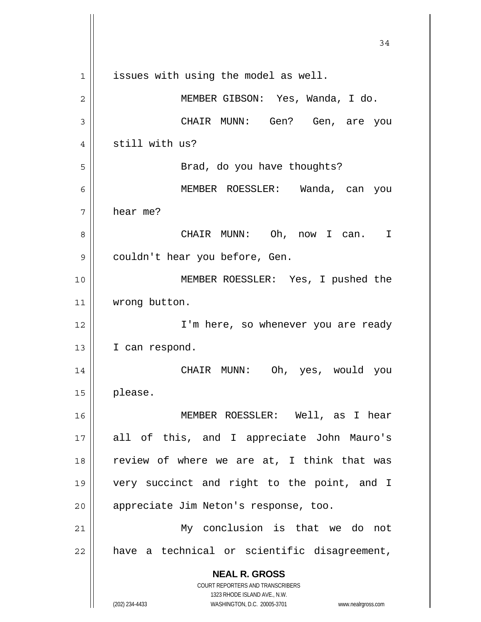**NEAL R. GROSS** COURT REPORTERS AND TRANSCRIBERS 1323 RHODE ISLAND AVE., N.W. (202) 234-4433 WASHINGTON, D.C. 20005-3701 www.nealrgross.com 34 1 || issues with using the model as well. 2 MEMBER GIBSON: Yes, Wanda, I do. 3 CHAIR MUNN: Gen? Gen, are you 4 || still with us? 5 || Brad, do you have thoughts? 6 MEMBER ROESSLER: Wanda, can you  $7 \parallel$  hear me? 8 CHAIR MUNN: Oh, now I can. I 9 | couldn't hear you before, Gen. 10 MEMBER ROESSLER: Yes, I pushed the 11 | wrong button. 12 || I'm here, so whenever you are ready 13 | I can respond. 14 CHAIR MUNN: Oh, yes, would you 15 please. 16 MEMBER ROESSLER: Well, as I hear 17 all of this, and I appreciate John Mauro's 18  $\parallel$  review of where we are at, I think that was 19 very succinct and right to the point, and I 20 | appreciate Jim Neton's response, too. 21 My conclusion is that we do not  $22$  | have a technical or scientific disagreement,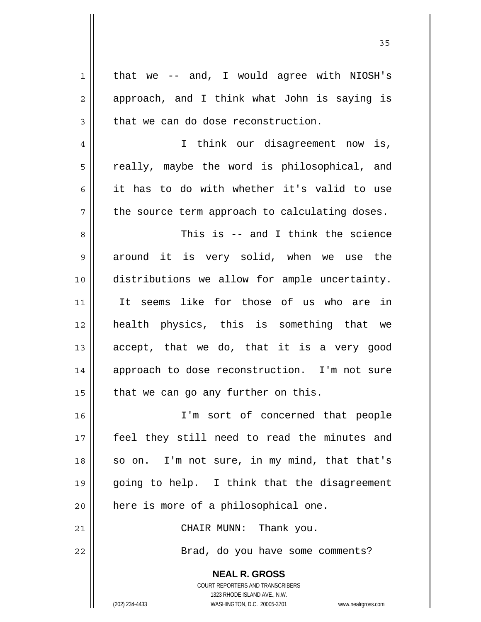| $\mathbf 1$    | that we -- and, I would agree with NIOSH's                          |
|----------------|---------------------------------------------------------------------|
| 2              | approach, and I think what John is saying is                        |
| $\mathfrak{Z}$ | that we can do dose reconstruction.                                 |
| 4              | I think our disagreement now is,                                    |
| 5              | really, maybe the word is philosophical, and                        |
| 6              | it has to do with whether it's valid to use                         |
| 7              | the source term approach to calculating doses.                      |
| 8              | This is -- and I think the science                                  |
| $\mathsf 9$    | around it is very solid, when we use the                            |
| 10             | distributions we allow for ample uncertainty.                       |
| 11             | It seems like for those of us who are in                            |
| 12             | health physics, this is something that we                           |
| 13             | accept, that we do, that it is a very good                          |
| 14             | approach to dose reconstruction. I'm not sure                       |
| 15             | that we can go any further on this.                                 |
| 16             | I'm sort of concerned that people                                   |
| 17             | feel they still need to read the minutes and                        |
| 18             | I'm not sure, in my mind, that that's<br>so on.                     |
| 19             | going to help. I think that the disagreement                        |
| 20             | here is more of a philosophical one.                                |
| 21             | CHAIR MUNN: Thank you.                                              |
| 22             | Brad, do you have some comments?                                    |
|                | <b>NEAL R. GROSS</b>                                                |
|                | <b>COURT REPORTERS AND TRANSCRIBERS</b>                             |
|                | 1323 RHODE ISLAND AVE., N.W.                                        |
|                | WASHINGTON, D.C. 20005-3701<br>(202) 234-4433<br>www.nealrgross.com |

 $\mathsf{I}$ 

<u>35 and 2012</u>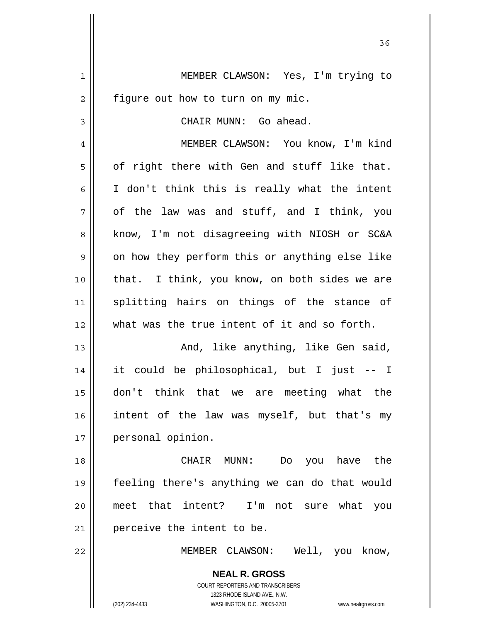**NEAL R. GROSS** COURT REPORTERS AND TRANSCRIBERS 1 MEMBER CLAWSON: Yes, I'm trying to  $2 \parallel$  figure out how to turn on my mic. 3 CHAIR MUNN: Go ahead. 4 || MEMBER CLAWSON: You know, I'm kind  $5 \parallel$  of right there with Gen and stuff like that.  $6 \parallel$  I don't think this is really what the intent  $7 \parallel$  of the law was and stuff, and I think, you 8 || know, I'm not disagreeing with NIOSH or SC&A  $9 \parallel$  on how they perform this or anything else like  $10$  | that. I think, you know, on both sides we are 11 splitting hairs on things of the stance of 12 what was the true intent of it and so forth. 13 And, like anything, like Gen said, 14 it could be philosophical, but I just -- I 15 don't think that we are meeting what the 16 intent of the law was myself, but that's my 17 | personal opinion. 18 CHAIR MUNN: Do you have the 19 feeling there's anything we can do that would 20 meet that intent? I'm not sure what you 21 | perceive the intent to be. 22 MEMBER CLAWSON: Well, you know,

<u>36 and 36</u>

1323 RHODE ISLAND AVE., N.W.

(202) 234-4433 WASHINGTON, D.C. 20005-3701 www.nealrgross.com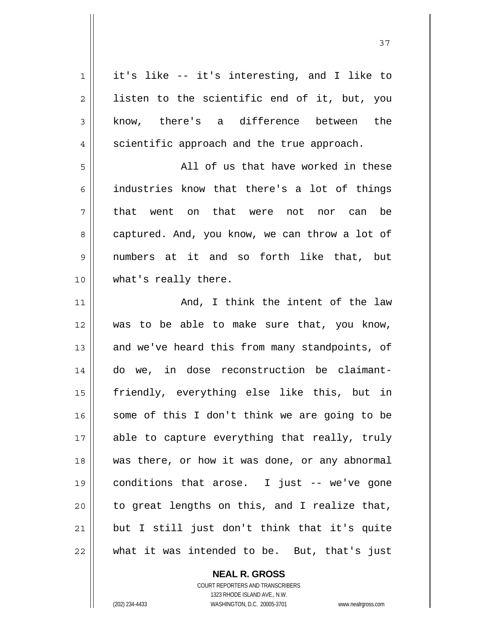it's like -- it's interesting, and I like to  $2 \parallel$  listen to the scientific end of it, but, you 3 know, there's a difference between the 4 | scientific approach and the true approach. All of us that have worked in these industries know that there's a lot of things 7 || that went on that were not nor can be 8 captured. And, you know, we can throw a lot of numbers at it and so forth like that, but 10 || what's really there. And, I think the intent of the law was to be able to make sure that, you know, 13 || and we've heard this from many standpoints, of do we, in dose reconstruction be claimant-friendly, everything else like this, but in some of this I don't think we are going to be 17 || able to capture everything that really, truly was there, or how it was done, or any abnormal conditions that arose. I just -- we've gone | to great lengths on this, and I realize that, but I still just don't think that it's quite || what it was intended to be. But, that's just

 **NEAL R. GROSS**

 COURT REPORTERS AND TRANSCRIBERS 1323 RHODE ISLAND AVE., N.W. (202) 234-4433 WASHINGTON, D.C. 20005-3701 www.nealrgross.com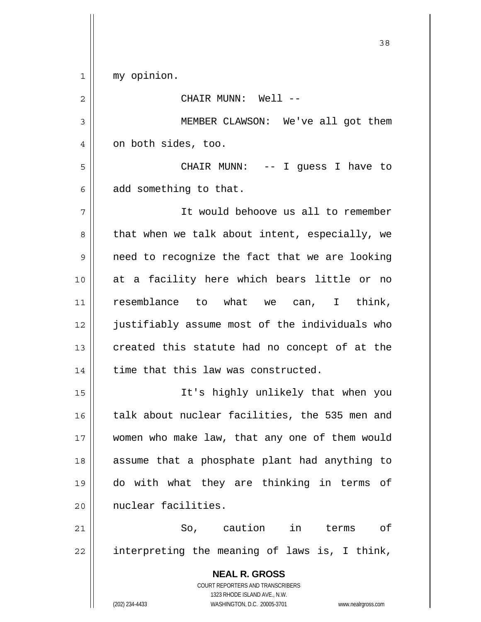1 my opinion.

| 2  | CHAIR MUNN: Well --                                                                                                                                             |
|----|-----------------------------------------------------------------------------------------------------------------------------------------------------------------|
| 3  | MEMBER CLAWSON: We've all got them                                                                                                                              |
| 4  | on both sides, too.                                                                                                                                             |
| 5  | CHAIR MUNN: -- I guess I have to                                                                                                                                |
| 6  | add something to that.                                                                                                                                          |
| 7  | It would behoove us all to remember                                                                                                                             |
| 8  | that when we talk about intent, especially, we                                                                                                                  |
| 9  | need to recognize the fact that we are looking                                                                                                                  |
| 10 | at a facility here which bears little or no                                                                                                                     |
| 11 | resemblance to what we can, I think,                                                                                                                            |
| 12 | justifiably assume most of the individuals who                                                                                                                  |
| 13 | created this statute had no concept of at the                                                                                                                   |
| 14 | time that this law was constructed.                                                                                                                             |
| 15 | It's highly unlikely that when you                                                                                                                              |
| 16 | talk about nuclear facilities, the 535 men and                                                                                                                  |
| 17 | women who make law, that any one of them would                                                                                                                  |
| 18 | assume that a phosphate plant had anything to                                                                                                                   |
| 19 | do with what they are thinking in terms of                                                                                                                      |
| 20 | nuclear facilities.                                                                                                                                             |
| 21 | So, caution in terms of                                                                                                                                         |
| 22 | interpreting the meaning of laws is, I think,                                                                                                                   |
|    | <b>NEAL R. GROSS</b><br>COURT REPORTERS AND TRANSCRIBERS<br>1323 RHODE ISLAND AVE., N.W.<br>(202) 234-4433<br>WASHINGTON, D.C. 20005-3701<br>www.nealrgross.com |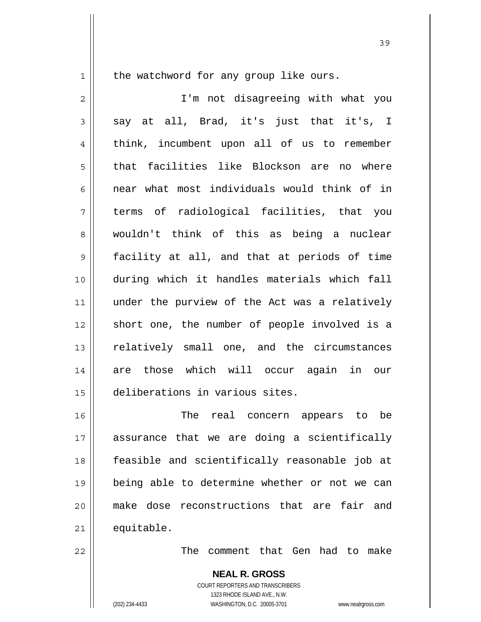$1 \parallel$  the watchword for any group like ours.

2 || I'm not disagreeing with what you  $3 \parallel$  say at all, Brad, it's just that it's, I 4 || think, incumbent upon all of us to remember 5 that facilities like Blockson are no where 6  $\parallel$  near what most individuals would think of in 7 terms of radiological facilities, that you 8 wouldn't think of this as being a nuclear 9 facility at all, and that at periods of time 10 during which it handles materials which fall 11 || under the purview of the Act was a relatively 12 || short one, the number of people involved is a 13 || relatively small one, and the circumstances 14 are those which will occur again in our 15 deliberations in various sites.

16 || The real concern appears to be assurance that we are doing a scientifically feasible and scientifically reasonable job at being able to determine whether or not we can make dose reconstructions that are fair and equitable.

22 The comment that Gen had to make

 **NEAL R. GROSS** COURT REPORTERS AND TRANSCRIBERS 1323 RHODE ISLAND AVE., N.W. (202) 234-4433 WASHINGTON, D.C. 20005-3701 www.nealrgross.com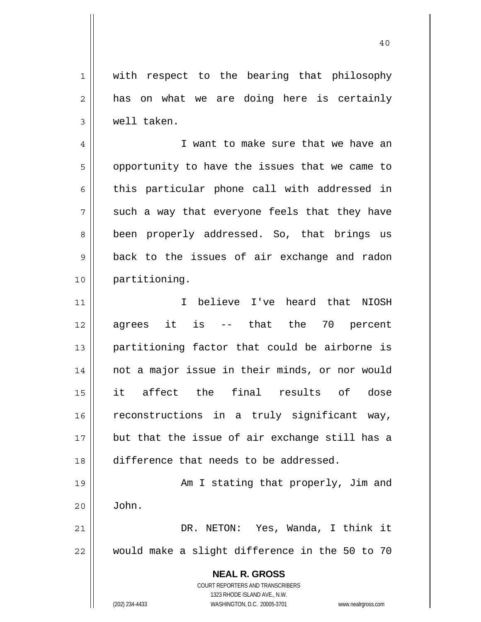1 || with respect to the bearing that philosophy  $2 \parallel$  has on what we are doing here is certainly 3 well taken.

40

4 || I want to make sure that we have an  $5 \parallel$  opportunity to have the issues that we came to  $6 \parallel$  this particular phone call with addressed in  $7 \parallel$  such a way that everyone feels that they have 8 || been properly addressed. So, that brings us 9 back to the issues of air exchange and radon 10 partitioning.

I believe I've heard that NIOSH  $12 \parallel$  agrees it is -- that the 70 percent partitioning factor that could be airborne is not a major issue in their minds, or nor would it affect the final results of dose 16 || reconstructions in a truly significant way, but that the issue of air exchange still has a difference that needs to be addressed.

19 || Am I stating that properly, Jim and 20 John. 21 DR. NETON: Yes, Wanda, I think it

22 would make a slight difference in the 50 to 70

 **NEAL R. GROSS**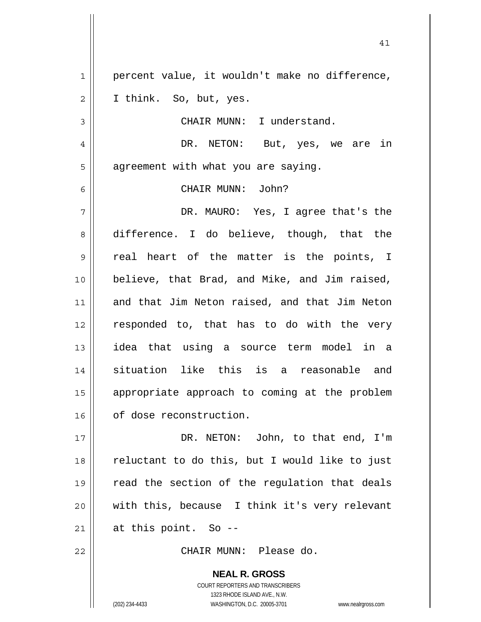1 || percent value, it wouldn't make no difference,  $2 \parallel$  I think. So, but, yes. 3 || CHAIR MUNN: I understand. DR. NETON: But, yes, we are in  $5 \parallel$  agreement with what you are saying. CHAIR MUNN: John? DR. MAURO: Yes, I agree that's the 8 difference. I do believe, though, that the 9 || real heart of the matter is the points, I believe, that Brad, and Mike, and Jim raised, and that Jim Neton raised, and that Jim Neton responded to, that has to do with the very idea that using a source term model in a situation like this is a reasonable and appropriate approach to coming at the problem 16 | of dose reconstruction. DR. NETON: John, to that end, I'm reluctant to do this, but I would like to just 19 || read the section of the regulation that deals with this, because I think it's very relevant || at this point. So --

41

22 CHAIR MUNN: Please do.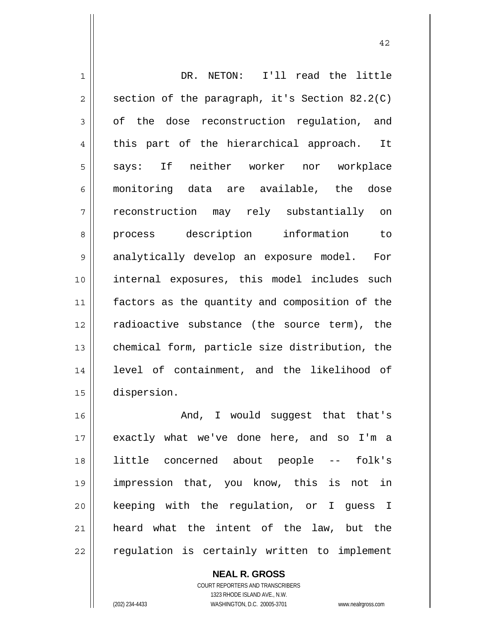| $\mathbf 1$    | DR. NETON: I'll read the little                |
|----------------|------------------------------------------------|
| $\overline{2}$ | section of the paragraph, it's Section 82.2(C) |
| 3              | of the dose reconstruction regulation, and     |
| 4              | this part of the hierarchical approach.<br>It  |
| 5              | says: If neither worker nor workplace          |
| 6              | monitoring data are available, the dose        |
| 7              | reconstruction may rely substantially on       |
| 8              | process description information<br>to          |
| 9              | analytically develop an exposure model. For    |
| 10             | internal exposures, this model includes such   |
| 11             | factors as the quantity and composition of the |
| 12             | radioactive substance (the source term), the   |
| 13             | chemical form, particle size distribution, the |
| 14             | level of containment, and the likelihood of    |
| 15             | dispersion.                                    |
| 16             | And, I would suggest that that's               |
| 17             | exactly what we've done here, and so I'm a     |
| 18             | little concerned about people -- folk's        |
| 19             | impression that, you know, this is not in      |

 keeping with the regulation, or I guess I heard what the intent of the law, but the regulation is certainly written to implement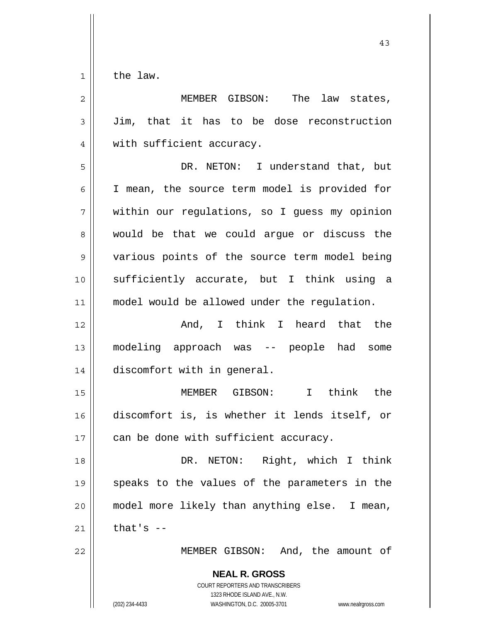$1 \parallel$  the law.

| $\overline{2}$ | MEMBER GIBSON: The law states,                                                                                                                                  |
|----------------|-----------------------------------------------------------------------------------------------------------------------------------------------------------------|
| $\mathfrak{Z}$ | Jim, that it has to be dose reconstruction                                                                                                                      |
| $\overline{4}$ | with sufficient accuracy.                                                                                                                                       |
| 5              | DR. NETON: I understand that, but                                                                                                                               |
| 6              | I mean, the source term model is provided for                                                                                                                   |
| 7              | within our regulations, so I guess my opinion                                                                                                                   |
| 8              | would be that we could argue or discuss the                                                                                                                     |
| $\mathsf 9$    | various points of the source term model being                                                                                                                   |
| 10             | sufficiently accurate, but I think using a                                                                                                                      |
| 11             | model would be allowed under the regulation.                                                                                                                    |
| 12             | And, I think I heard that the                                                                                                                                   |
| 13             | modeling approach was -- people had some                                                                                                                        |
| 14             | discomfort with in general.                                                                                                                                     |
| 15             | $\mathbf{I}$<br>think the<br>MEMBER GIBSON:                                                                                                                     |
| 16             | discomfort is, is whether it lends itself, or                                                                                                                   |
| 17             | can be done with sufficient accuracy.                                                                                                                           |
| 18             | DR. NETON: Right, which I think                                                                                                                                 |
| 19             | speaks to the values of the parameters in the                                                                                                                   |
| 20             | model more likely than anything else. I mean,                                                                                                                   |
| 21             | that's $-$                                                                                                                                                      |
| 22             | MEMBER GIBSON: And, the amount of                                                                                                                               |
|                | <b>NEAL R. GROSS</b><br>COURT REPORTERS AND TRANSCRIBERS<br>1323 RHODE ISLAND AVE., N.W.<br>(202) 234-4433<br>WASHINGTON, D.C. 20005-3701<br>www.nealrgross.com |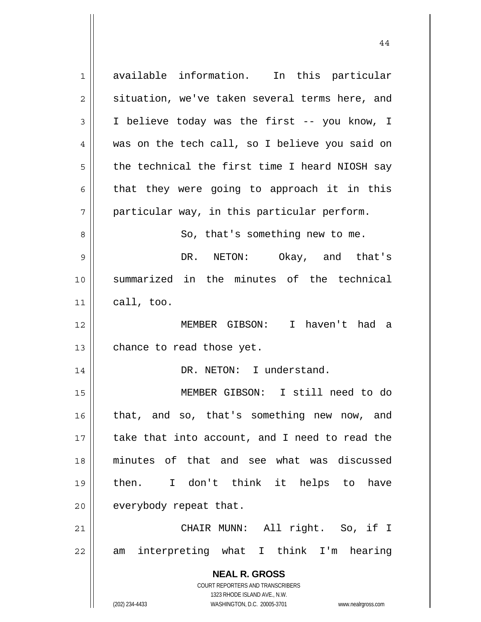**NEAL R. GROSS** COURT REPORTERS AND TRANSCRIBERS 1323 RHODE ISLAND AVE., N.W. (202) 234-4433 WASHINGTON, D.C. 20005-3701 www.nealrgross.com 1 available information. In this particular 2 | situation, we've taken several terms here, and 3 I believe today was the first -- you know, I 4 was on the tech call, so I believe you said on  $5 \parallel$  the technical the first time I heard NIOSH say  $6 \parallel$  that they were going to approach it in this  $7 \parallel$  particular way, in this particular perform. 8 || So, that's something new to me. 9 DR. NETON: Okay, and that's 10 summarized in the minutes of the technical  $11$  call, too. 12 MEMBER GIBSON: I haven't had a  $13$  | chance to read those yet. 14 || DR. NETON: I understand. 15 MEMBER GIBSON: I still need to do 16 || that, and so, that's something new now, and 17 || take that into account, and I need to read the 18 minutes of that and see what was discussed 19 then. I don't think it helps to have  $20$  | everybody repeat that. 21 CHAIR MUNN: All right. So, if I 22 || am interpreting what I think I'm hearing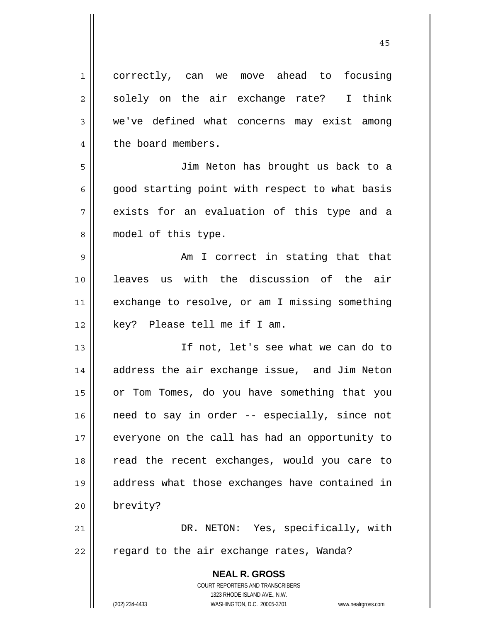**NEAL R. GROSS** COURT REPORTERS AND TRANSCRIBERS 1 correctly, can we move ahead to focusing  $2 \parallel$  solely on the air exchange rate? I think 3 we've defined what concerns may exist among 4 | the board members. 5 Jim Neton has brought us back to a  $6 \parallel$  good starting point with respect to what basis  $7 \parallel$  exists for an evaluation of this type and a 8 || model of this type. 9 Am I correct in stating that that 10 leaves us with the discussion of the air 11 || exchange to resolve, or am I missing something 12 key? Please tell me if I am. 13 If not, let's see what we can do to 14 || address the air exchange issue, and Jim Neton 15 or Tom Tomes, do you have something that you 16 || need to say in order -- especially, since not 17 || everyone on the call has had an opportunity to 18 || read the recent exchanges, would you care to 19 address what those exchanges have contained in 20 brevity? 21 DR. NETON: Yes, specifically, with  $22$  | regard to the air exchange rates, Wanda?

1323 RHODE ISLAND AVE., N.W.

(202) 234-4433 WASHINGTON, D.C. 20005-3701 www.nealrgross.com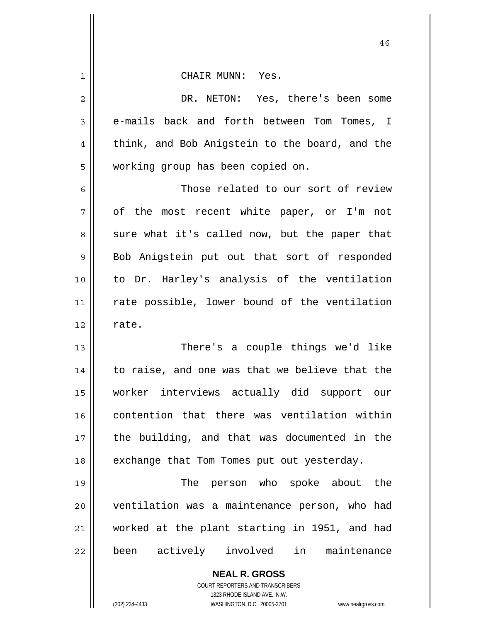| 1              | CHAIR MUNN: Yes.                               |
|----------------|------------------------------------------------|
| $\overline{c}$ | DR. NETON: Yes, there's been some              |
| 3              | e-mails back and forth between Tom Tomes, I    |
| 4              | think, and Bob Anigstein to the board, and the |
| 5              | working group has been copied on.              |
| 6              | Those related to our sort of review            |
| 7              | of the most recent white paper, or I'm not     |
| 8              | sure what it's called now, but the paper that  |
| 9              | Bob Anigstein put out that sort of responded   |
| 10             | to Dr. Harley's analysis of the ventilation    |
| 11             | rate possible, lower bound of the ventilation  |
| 12             | rate.                                          |
|                |                                                |
| 13             | There's a couple things we'd like              |
| 14             | to raise, and one was that we believe that the |
| 15             | worker interviews actually did support our     |
| 16             | contention that there was ventilation within   |
| 17             | the building, and that was documented in the   |
| 18             | exchange that Tom Tomes put out yesterday.     |
| 19             | The person who spoke about the                 |
| 20             | ventilation was a maintenance person, who had  |
| 21             | worked at the plant starting in 1951, and had  |
| 22             | in<br>been actively involved<br>maintenance    |
|                | <b>NEAL R. GROSS</b>                           |

 COURT REPORTERS AND TRANSCRIBERS 1323 RHODE ISLAND AVE., N.W.

 $\mathop{\text{||}}$ 

(202) 234-4433 WASHINGTON, D.C. 20005-3701 www.nealrgross.com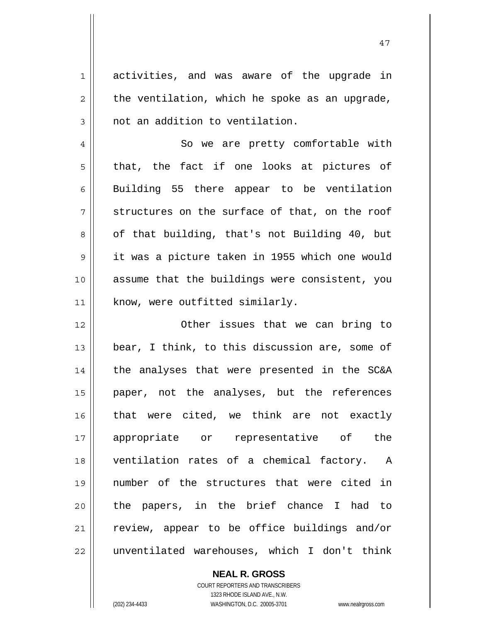1 activities, and was aware of the upgrade in  $2 \parallel$  the ventilation, which he spoke as an upgrade,  $3 \parallel$  not an addition to ventilation.

4 || So we are pretty comfortable with  $5 \parallel$  that, the fact if one looks at pictures of  $6 \parallel$  Building 55 there appear to be ventilation  $7 \parallel$  structures on the surface of that, on the roof  $8 \parallel$  of that building, that's not Building 40, but 9 it was a picture taken in 1955 which one would 10 assume that the buildings were consistent, you 11 || know, were outfitted similarly.

12 Other issues that we can bring to 13 || bear, I think, to this discussion are, some of  $14$  | the analyses that were presented in the SC&A 15 paper, not the analyses, but the references 16 that were cited, we think are not exactly 17 appropriate or representative of the 18 || ventilation rates of a chemical factory. A 19 number of the structures that were cited in 20 || the papers, in the brief chance I had to 21 || review, appear to be office buildings and/or 22 || unventilated warehouses, which I don't think

> COURT REPORTERS AND TRANSCRIBERS 1323 RHODE ISLAND AVE., N.W. (202) 234-4433 WASHINGTON, D.C. 20005-3701 www.nealrgross.com

 **NEAL R. GROSS**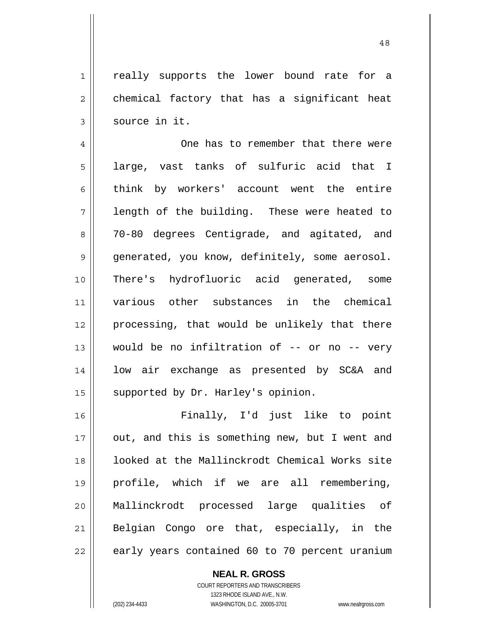1| really supports the lower bound rate for a  $2 \parallel$  chemical factory that has a significant heat  $3 \parallel$  source in it.

4 | One has to remember that there were  $5 \parallel$  large, vast tanks of sulfuric acid that I 6 think by workers' account went the entire  $7 \parallel$  length of the building. These were heated to 8 70-80 degrees Centigrade, and agitated, and 9 | generated, you know, definitely, some aerosol. 10 There's hydrofluoric acid generated, some 11 various other substances in the chemical 12 processing, that would be unlikely that there 13 || would be no infiltration of -- or no -- very 14 || low air exchange as presented by SC&A and 15 || supported by Dr. Harley's opinion.

Finally, I'd just like to point 17 || out, and this is something new, but I went and looked at the Mallinckrodt Chemical Works site profile, which if we are all remembering, Mallinckrodt processed large qualities of 21 || Belgian Congo ore that, especially, in the | early years contained 60 to 70 percent uranium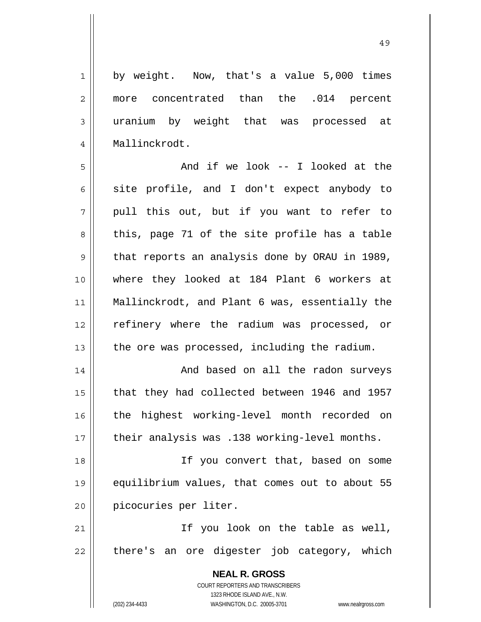1 by weight. Now, that's a value 5,000 times 2 more concentrated than the .014 percent 3 uranium by weight that was processed at 4 Mallinckrodt.

5 And if we look -- I looked at the  $6$  site profile, and I don't expect anybody to  $7 \parallel$  pull this out, but if you want to refer to  $8 \parallel$  this, page 71 of the site profile has a table  $9 \parallel$  that reports an analysis done by ORAU in 1989, 10 where they looked at 184 Plant 6 workers at 11 Mallinckrodt, and Plant 6 was, essentially the 12 || refinery where the radium was processed, or 13  $\parallel$  the ore was processed, including the radium.

14 || And based on all the radon surveys 15 that they had collected between 1946 and 1957 16 || the highest working-level month recorded on 17 || their analysis was .138 working-level months.

18 || If you convert that, based on some 19 equilibrium values, that comes out to about 55 20 | picocuries per liter.

21 || The Vou look on the table as well,  $22$  || there's an ore digester job category, which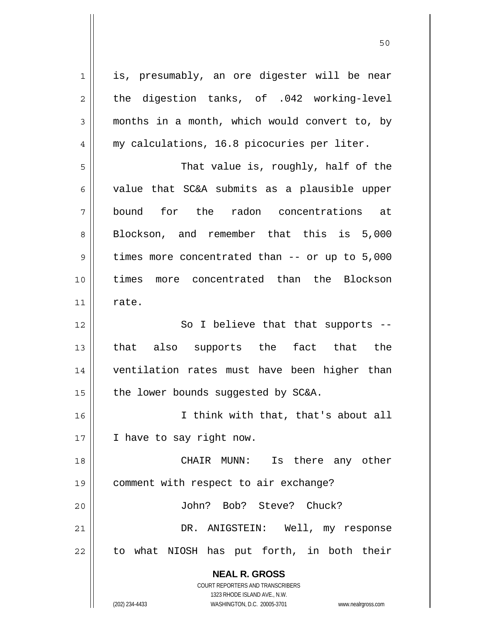**NEAL R. GROSS** COURT REPORTERS AND TRANSCRIBERS 1 || is, presumably, an ore digester will be near  $2 \parallel$  the digestion tanks, of .042 working-level 3 months in a month, which would convert to, by 4 || my calculations, 16.8 picocuries per liter. 5 That value is, roughly, half of the  $6 \parallel$  value that SC&A submits as a plausible upper 7 bound for the radon concentrations at 8 Blockson, and remember that this is 5,000  $9 \parallel$  times more concentrated than -- or up to  $5,000$ 10 times more concentrated than the Blockson  $11$  rate. 12 || So I believe that that supports --13 that also supports the fact that the 14 ventilation rates must have been higher than 15  $\parallel$  the lower bounds suggested by SC&A. 16 I think with that, that's about all 17 || I have to say right now. 18 CHAIR MUNN: Is there any other 19 comment with respect to air exchange? 20 John? Bob? Steve? Chuck? 21 DR. ANIGSTEIN: Well, my response 22 || to what NIOSH has put forth, in both their

50

1323 RHODE ISLAND AVE., N.W.

(202) 234-4433 WASHINGTON, D.C. 20005-3701 www.nealrgross.com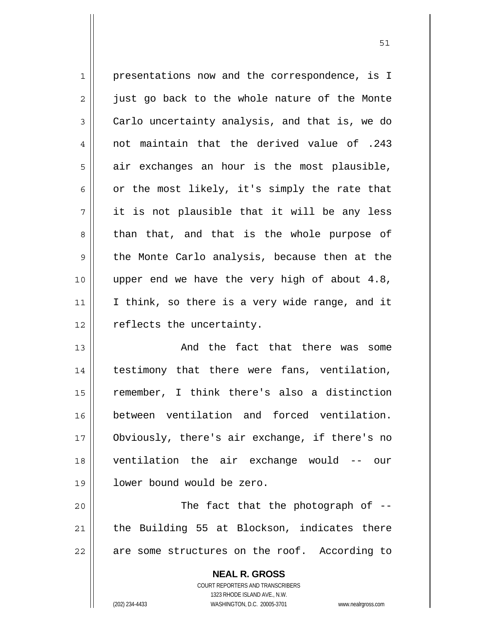1 || presentations now and the correspondence, is I  $2 \parallel$  just go back to the whole nature of the Monte  $3 \parallel$  Carlo uncertainty analysis, and that is, we do 4 not maintain that the derived value of .243  $5 \parallel$  air exchanges an hour is the most plausible, 6  $\vert$  or the most likely, it's simply the rate that  $7 \parallel$  it is not plausible that it will be any less  $8 \parallel$  than that, and that is the whole purpose of 9 the Monte Carlo analysis, because then at the 10 upper end we have the very high of about 4.8, 11 || I think, so there is a very wide range, and it 12 | reflects the uncertainty.

And the fact that there was some 14 || testimony that there were fans, ventilation, remember, I think there's also a distinction between ventilation and forced ventilation. Obviously, there's air exchange, if there's no ventilation the air exchange would -- our lower bound would be zero.

20 The fact that the photograph of --  $21$   $\parallel$  the Building 55 at Blockson, indicates there 22 || are some structures on the roof. According to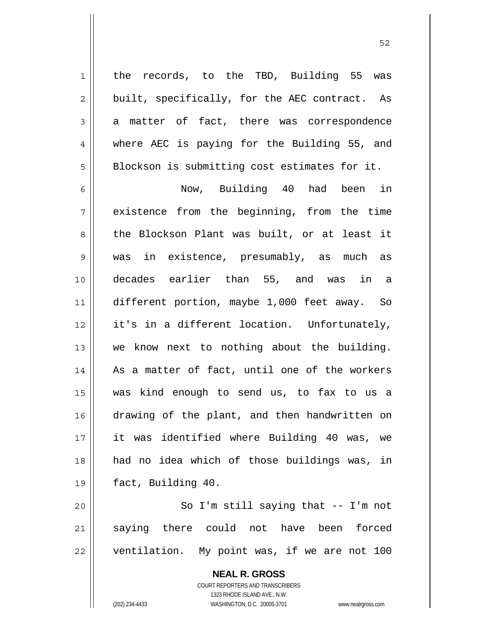1 || the records, to the TBD, Building 55 was  $2 \parallel$  built, specifically, for the AEC contract. As  $3 \parallel$  a matter of fact, there was correspondence 4 || where AEC is paying for the Building 55, and  $5 \parallel$  Blockson is submitting cost estimates for it.

Now, Building 40 had been in 7 || existence from the beginning, from the time 8 the Blockson Plant was built, or at least it was in existence, presumably, as much as decades earlier than 55, and was in a different portion, maybe 1,000 feet away. So it's in a different location. Unfortunately, 13 || we know next to nothing about the building. 14 || As a matter of fact, until one of the workers was kind enough to send us, to fax to us a 16 drawing of the plant, and then handwritten on it was identified where Building 40 was, we had no idea which of those buildings was, in fact, Building 40.

20 || So I'm still saying that -- I'm not 21 saying there could not have been forced  $22$  | ventilation. My point was, if we are not 100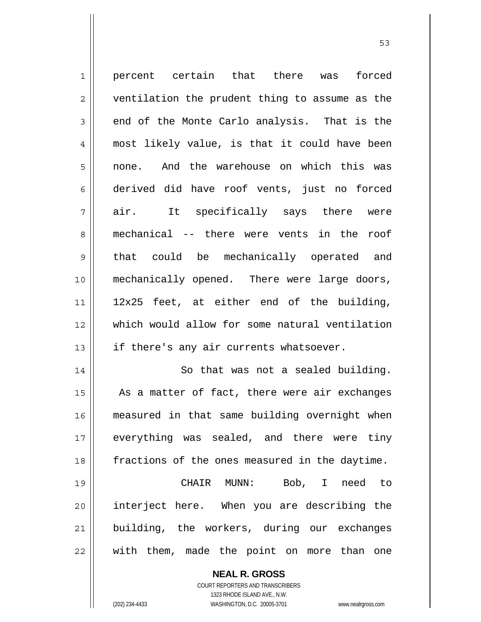1 || percent certain that there was forced 2 || ventilation the prudent thing to assume as the  $3 \parallel$  end of the Monte Carlo analysis. That is the most likely value, is that it could have been none. And the warehouse on which this was derived did have roof vents, just no forced  $7 \parallel$  air. It specifically says there were mechanical -- there were vents in the roof 9 || that could be mechanically operated and mechanically opened. There were large doors, || 12x25 feet, at either end of the building, which would allow for some natural ventilation  $\parallel$  if there's any air currents whatsoever. 14 || So that was not a sealed building. | As a matter of fact, there were air exchanges measured in that same building overnight when 17 || everything was sealed, and there were tiny fractions of the ones measured in the daytime.

 $\sim$  53

CHAIR MUNN: Bob, I need to interject here. When you are describing the 21 building, the workers, during our exchanges || with them, made the point on more than one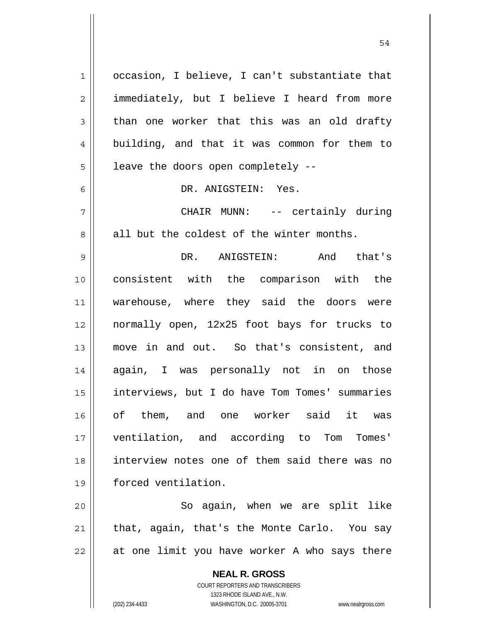1 | occasion, I believe, I can't substantiate that 2 | immediately, but I believe I heard from more  $3 \parallel$  than one worker that this was an old drafty 4 building, and that it was common for them to  $5 \parallel$  leave the doors open completely --6 DR. ANIGSTEIN: Yes. 7 || CHAIR MUNN: -- certainly during  $8 \parallel$  all but the coldest of the winter months. 9 DR. ANIGSTEIN: And that's 10 consistent with the comparison with the 11 || warehouse, where they said the doors were 12 normally open, 12x25 foot bays for trucks to 13 move in and out. So that's consistent, and 14 again, I was personally not in on those 15 interviews, but I do have Tom Tomes' summaries 16 of them, and one worker said it was 17 ventilation, and according to Tom Tomes' 18 interview notes one of them said there was no 19 forced ventilation. 20 || So again, when we are split like  $21$  | that, again, that's the Monte Carlo. You say

54

 $22$  || at one limit you have worker A who says there

 **NEAL R. GROSS**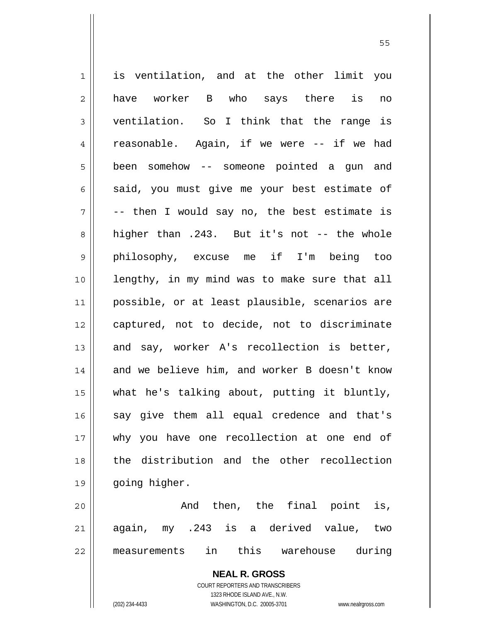1 is ventilation, and at the other limit you  $2 \parallel$  have worker B who says there is no 3 ventilation. So I think that the range is 4 || reasonable. Again, if we were -- if we had 5 | been somehow -- someone pointed a gun and  $6 \parallel$  said, you must give me your best estimate of  $7 \parallel$  -- then I would say no, the best estimate is 8 higher than .243. But it's not -- the whole 9 philosophy, excuse me if I'm being too 10 lengthy, in my mind was to make sure that all 11 possible, or at least plausible, scenarios are 12 captured, not to decide, not to discriminate 13  $\parallel$  and say, worker A's recollection is better, 14 and we believe him, and worker B doesn't know 15 what he's talking about, putting it bluntly, 16 || say give them all equal credence and that's 17 why you have one recollection at one end of 18 the distribution and the other recollection 19 || going higher. 20 || The Rand then, the final point is, 21 again, my .243 is a derived value, two 22 measurements in this warehouse during

 $55$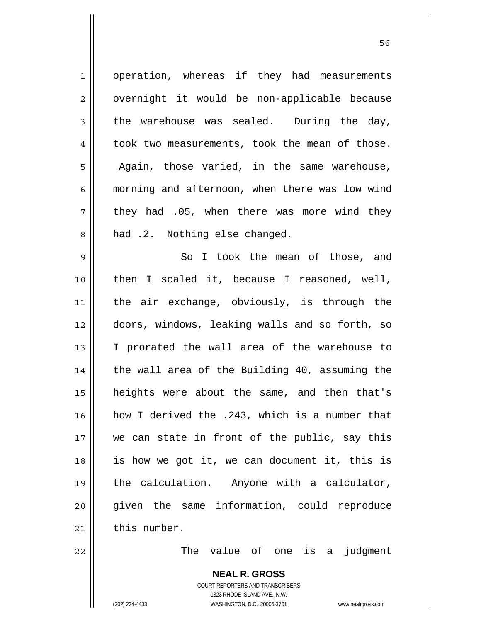| $\mathbf 1$    | operation, whereas if they had measurements    |
|----------------|------------------------------------------------|
| $\overline{2}$ | overnight it would be non-applicable because   |
| 3              | the warehouse was sealed. During the day,      |
| 4              | took two measurements, took the mean of those. |
| 5              | Again, those varied, in the same warehouse,    |
| 6              | morning and afternoon, when there was low wind |
| 7              | they had .05, when there was more wind they    |
| 8              | had .2. Nothing else changed.                  |
| 9              | So I took the mean of those, and               |
| 10             | then I scaled it, because I reasoned, well,    |
| 11             | the air exchange, obviously, is through the    |
| 12             | doors, windows, leaking walls and so forth, so |
| 13             | I prorated the wall area of the warehouse to   |
| 14             | the wall area of the Building 40, assuming the |
| 15             | heights were about the same, and then that's   |
| 16             | how I derived the .243, which is a number that |
| 17             | we can state in front of the public, say this  |
| 18             | is how we got it, we can document it, this is  |
| 19             | the calculation. Anyone with a calculator,     |
| 20             | given the same information, could reproduce    |
| 21             | this number.                                   |
| 22             | The value of one is a judgment                 |
|                | <b>NEAL R. GROSS</b>                           |

 COURT REPORTERS AND TRANSCRIBERS 1323 RHODE ISLAND AVE., N.W. (202) 234-4433 WASHINGTON, D.C. 20005-3701 www.nealrgross.com

 $\mathsf{II}$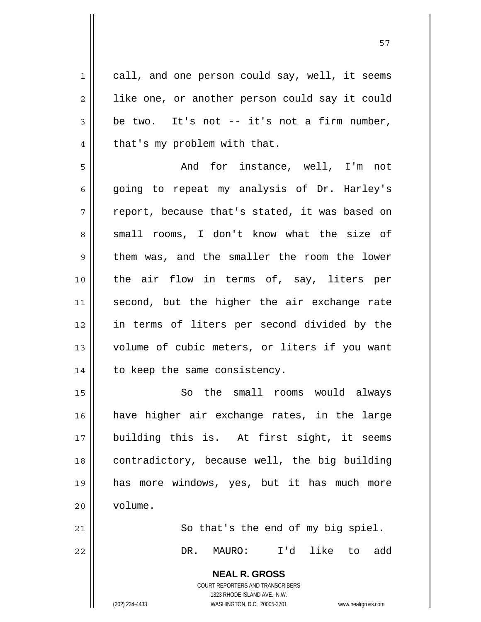1 || call, and one person could say, well, it seems 2 || like one, or another person could say it could  $3 \parallel$  be two. It's not -- it's not a firm number,  $4 \parallel$  that's my problem with that.

5 And for instance, well, I'm not 6 || going to repeat my analysis of Dr. Harley's  $7 \parallel$  report, because that's stated, it was based on 8 small rooms, I don't know what the size of  $9 \parallel$  them was, and the smaller the room the lower 10 || the air flow in terms of, say, liters per 11 || second, but the higher the air exchange rate 12 in terms of liters per second divided by the 13 || volume of cubic meters, or liters if you want  $14$  | to keep the same consistency.

15 || So the small rooms would always 16 have higher air exchange rates, in the large 17 building this is. At first sight, it seems 18 || contradictory, because well, the big building 19 has more windows, yes, but it has much more 20 volume.

21  $\parallel$  So that's the end of my big spiel. 22 DR. MAURO: I'd like to add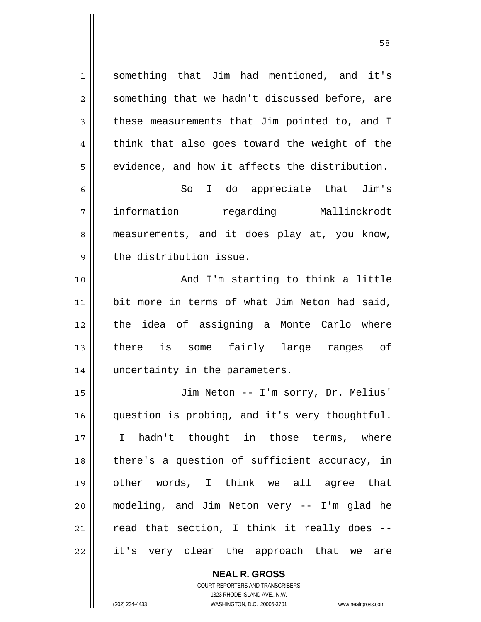1 || something that Jim had mentioned, and it's  $2 \parallel$  something that we hadn't discussed before, are 3 these measurements that Jim pointed to, and I  $4 \parallel$  think that also goes toward the weight of the  $5 \parallel$  evidence, and how it affects the distribution. 6 || So I do appreciate that Jim's 7 information regarding Mallinckrodt 8 measurements, and it does play at, you know,  $9$  | the distribution issue. 10 || And I'm starting to think a little 11 || bit more in terms of what Jim Neton had said, 12 the idea of assigning a Monte Carlo where 13 there is some fairly large ranges of 14 uncertainty in the parameters. 15 Jim Neton -- I'm sorry, Dr. Melius' 16 question is probing, and it's very thoughtful. 17 I hadn't thought in those terms, where 18 || there's a question of sufficient accuracy, in 19 other words, I think we all agree that 20 modeling, and Jim Neton very -- I'm glad he  $21$  read that section, I think it really does  $22$  it's very clear the approach that we are

> **NEAL R. GROSS** COURT REPORTERS AND TRANSCRIBERS

> > 1323 RHODE ISLAND AVE., N.W.

(202) 234-4433 WASHINGTON, D.C. 20005-3701 www.nealrgross.com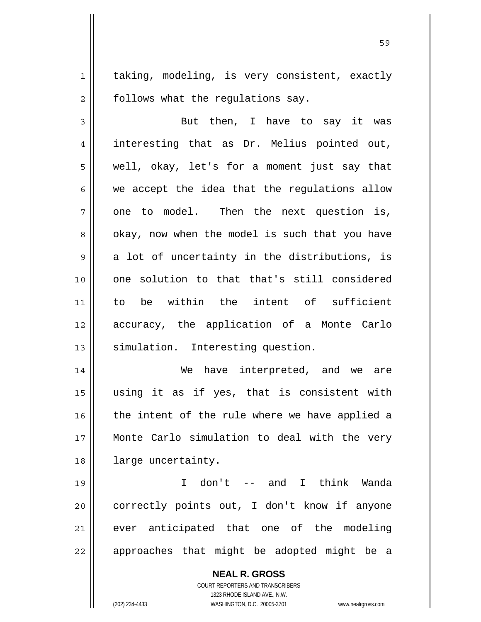1 || taking, modeling, is very consistent, exactly  $2 \parallel$  follows what the regulations say.

3 But then, I have to say it was 4 interesting that as Dr. Melius pointed out,  $5 \parallel$  well, okay, let's for a moment just say that  $6 \parallel$  we accept the idea that the regulations allow  $7 \parallel$  one to model. Then the next question is,  $8 \parallel$  okay, now when the model is such that you have  $9 \parallel$  a lot of uncertainty in the distributions, is 10 one solution to that that's still considered 11 to be within the intent of sufficient 12 accuracy, the application of a Monte Carlo 13 || simulation. Interesting question.

We have interpreted, and we are using it as if yes, that is consistent with | the intent of the rule where we have applied a Monte Carlo simulation to deal with the very 18 | large uncertainty.

19 I don't -- and I think Wanda 20 || correctly points out, I don't know if anyone 21 || ever anticipated that one of the modeling  $22$  || approaches that might be adopted might be a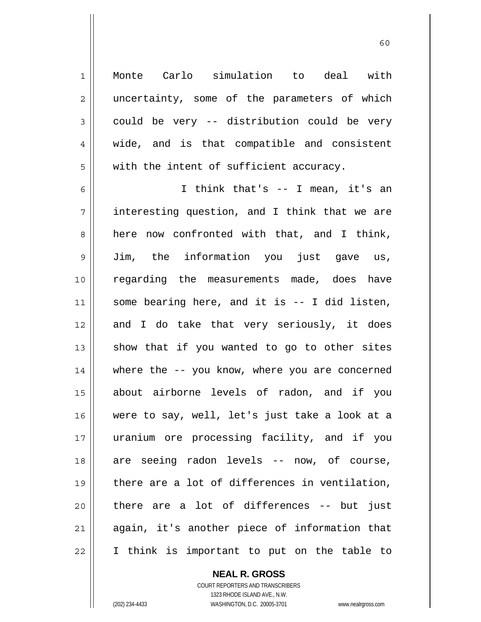Monte Carlo simulation to deal with 2 || uncertainty, some of the parameters of which  $3 \parallel$  could be very -- distribution could be very 4 || wide, and is that compatible and consistent | with the intent of sufficient accuracy.

I think that's -- I mean, it's an interesting question, and I think that we are 8 here now confronted with that, and I think, Jim, the information you just gave us, regarding the measurements made, does have some bearing here, and it is  $-$  I did listen, 12 and I do take that very seriously, it does show that if you wanted to go to other sites where the -- you know, where you are concerned about airborne levels of radon, and if you were to say, well, let's just take a look at a uranium ore processing facility, and if you 18 are seeing radon levels -- now, of course, there are a lot of differences in ventilation, || there are a lot of differences -- but just again, it's another piece of information that I think is important to put on the table to

> **NEAL R. GROSS** COURT REPORTERS AND TRANSCRIBERS 1323 RHODE ISLAND AVE., N.W. (202) 234-4433 WASHINGTON, D.C. 20005-3701 www.nealrgross.com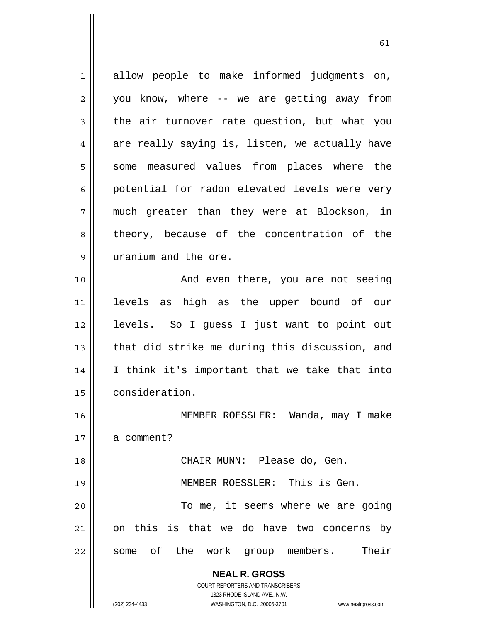| 1  | allow people to make informed judgments on,                         |
|----|---------------------------------------------------------------------|
| 2  | you know, where -- we are getting away from                         |
| 3  | the air turnover rate question, but what you                        |
| 4  | are really saying is, listen, we actually have                      |
| 5  | some measured values from places where the                          |
| 6  | potential for radon elevated levels were very                       |
| 7  | much greater than they were at Blockson, in                         |
| 8  | theory, because of the concentration of the                         |
| 9  | uranium and the ore.                                                |
| 10 | And even there, you are not seeing                                  |
| 11 | levels as high as the upper bound of our                            |
| 12 | levels. So I guess I just want to point out                         |
| 13 | that did strike me during this discussion, and                      |
| 14 | I think it's important that we take that into                       |
| 15 | consideration.                                                      |
| 16 | MEMBER ROESSLER: Wanda, may I make                                  |
| 17 | a comment?                                                          |
| 18 | CHAIR MUNN: Please do, Gen.                                         |
| 19 | MEMBER ROESSLER: This is Gen.                                       |
| 20 | To me, it seems where we are going                                  |
| 21 | on this is that we do have two concerns by                          |
| 22 | some of the work group members. Their                               |
|    |                                                                     |
|    | <b>NEAL R. GROSS</b>                                                |
|    | COURT REPORTERS AND TRANSCRIBERS<br>1323 RHODE ISLAND AVE., N.W.    |
|    | (202) 234-4433<br>WASHINGTON, D.C. 20005-3701<br>www.nealrgross.com |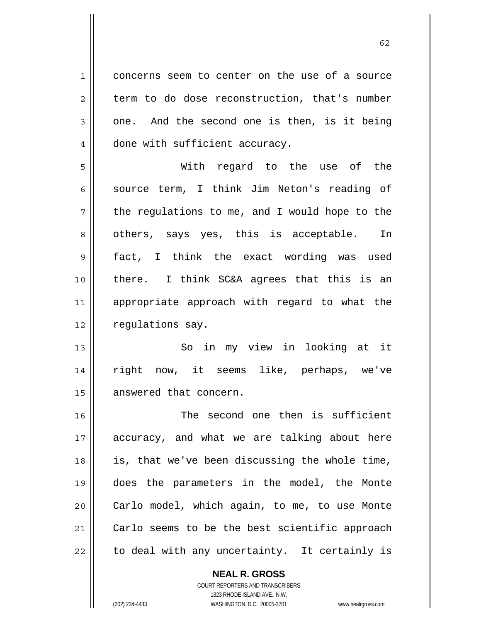1 || concerns seem to center on the use of a source  $2 \parallel$  term to do dose reconstruction, that's number  $3 \parallel$  one. And the second one is then, is it being 4 | done with sufficient accuracy.

With regard to the use of the source term, I think Jim Neton's reading of  $7 \parallel$  the regulations to me, and I would hope to the  $8 \parallel$  others, says yes, this is acceptable. In fact, I think the exact wording was used there. I think SC&A agrees that this is an appropriate approach with regard to what the 12 | requlations say.

13 So in my view in looking at it 14 right now, it seems like, perhaps, we've 15 | answered that concern.

16 || The second one then is sufficient 17 accuracy, and what we are talking about here 18 is, that we've been discussing the whole time, 19 does the parameters in the model, the Monte 20 || Carlo model, which again, to me, to use Monte 21 | Carlo seems to be the best scientific approach  $22$  | to deal with any uncertainty. It certainly is

> **NEAL R. GROSS** COURT REPORTERS AND TRANSCRIBERS 1323 RHODE ISLAND AVE., N.W.

(202) 234-4433 WASHINGTON, D.C. 20005-3701 www.nealrgross.com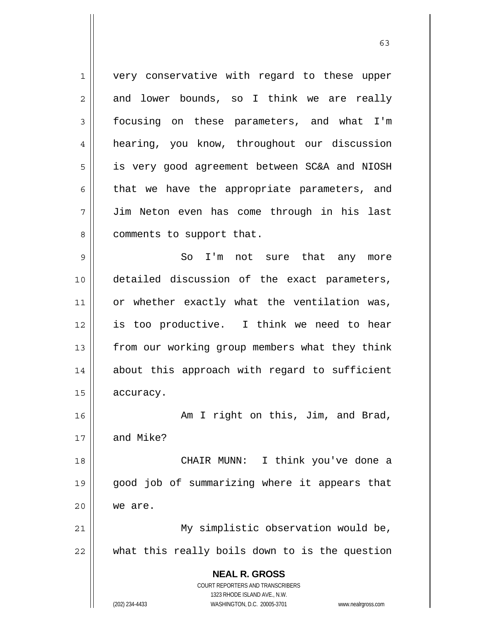**NEAL R. GROSS** COURT REPORTERS AND TRANSCRIBERS 1323 RHODE ISLAND AVE., N.W. (202) 234-4433 WASHINGTON, D.C. 20005-3701 www.nealrgross.com 1 || very conservative with regard to these upper  $2 \parallel$  and lower bounds, so I think we are really 3 focusing on these parameters, and what I'm 4 hearing, you know, throughout our discussion 5 | is very good agreement between SC&A and NIOSH  $6 \parallel$  that we have the appropriate parameters, and 7 Jim Neton even has come through in his last 8 | comments to support that. 9 So I'm not sure that any more 10 detailed discussion of the exact parameters, 11 || or whether exactly what the ventilation was, 12 is too productive. I think we need to hear 13 || from our working group members what they think 14 || about this approach with regard to sufficient 15 accuracy. 16 || Am I right on this, Jim, and Brad,  $17 \parallel$  and Mike? 18 || CHAIR MUNN: I think you've done a 19 good job of summarizing where it appears that 20 we are. 21 | My simplistic observation would be, 22 what this really boils down to is the question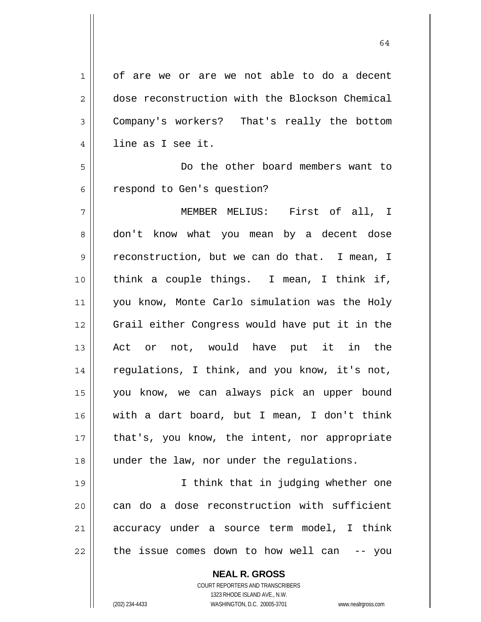1 || of are we or are we not able to do a decent 2 dose reconstruction with the Blockson Chemical 3 Company's workers? That's really the bottom 4 || line as I see it. 5 Do the other board members want to 6 | respond to Gen's question? 7 MEMBER MELIUS: First of all, I 8 don't know what you mean by a decent dose 9 | reconstruction, but we can do that. I mean, I 10 || think a couple things. I mean, I think if, 11 you know, Monte Carlo simulation was the Holy 12 Grail either Congress would have put it in the 13 || Act or not, would have put it in the 14 || regulations, I think, and you know, it's not, 15 you know, we can always pick an upper bound 16 with a dart board, but I mean, I don't think 17 || that's, you know, the intent, nor appropriate 18 || under the law, nor under the regulations. 19 I think that in judging whether one  $20$  can do a dose reconstruction with sufficient 21 accuracy under a source term model, I think  $22$  | the issue comes down to how well can  $-$ - you

> **NEAL R. GROSS** COURT REPORTERS AND TRANSCRIBERS 1323 RHODE ISLAND AVE., N.W. (202) 234-4433 WASHINGTON, D.C. 20005-3701 www.nealrgross.com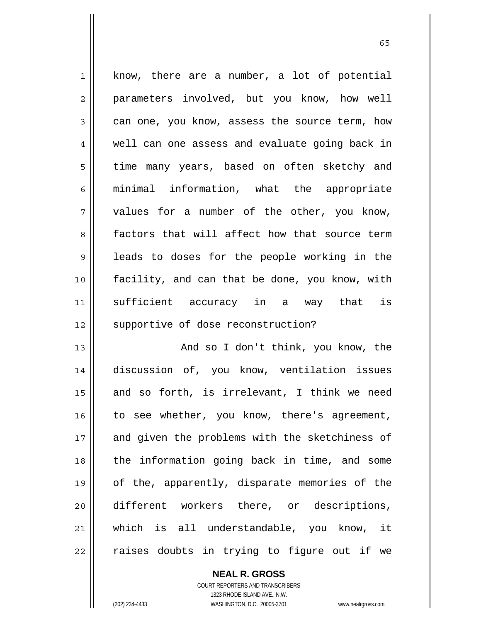$1 \parallel$  know, there are a number, a lot of potential 2 || parameters involved, but you know, how well  $3 \parallel$  can one, you know, assess the source term, how 4 || well can one assess and evaluate going back in 5 | time many years, based on often sketchy and 6 minimal information, what the appropriate  $7$  | values for a number of the other, you know, 8 factors that will affect how that source term 9 || leads to doses for the people working in the 10 facility, and can that be done, you know, with 11 sufficient accuracy in a way that is 12 || supportive of dose reconstruction?

 $\sim$  65

13 || And so I don't think, you know, the 14 discussion of, you know, ventilation issues 15 and so forth, is irrelevant, I think we need 16 || to see whether, you know, there's agreement, 17 || and given the problems with the sketchiness of 18 || the information going back in time, and some 19 of the, apparently, disparate memories of the 20 || different workers there, or descriptions, 21 which is all understandable, you know, it 22 || raises doubts in trying to figure out if we

> **NEAL R. GROSS** COURT REPORTERS AND TRANSCRIBERS 1323 RHODE ISLAND AVE., N.W.

(202) 234-4433 WASHINGTON, D.C. 20005-3701 www.nealrgross.com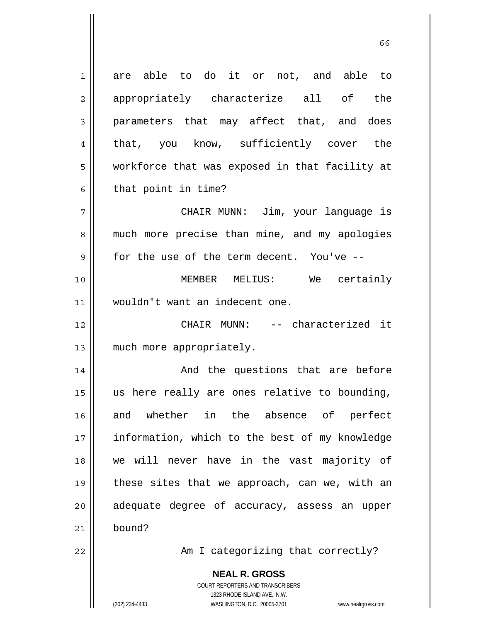**NEAL R. GROSS** COURT REPORTERS AND TRANSCRIBERS 1323 RHODE ISLAND AVE., N.W. 1 are able to do it or not, and able to 2 appropriately characterize all of the 3 parameters that may affect that, and does 4 || that, you know, sufficiently cover the 5 | workforce that was exposed in that facility at  $6 \parallel$  that point in time? 7 CHAIR MUNN: Jim, your language is 8 || much more precise than mine, and my apologies  $9 \parallel$  for the use of the term decent. You've --10 MEMBER MELIUS: We certainly 11 wouldn't want an indecent one. 12 CHAIR MUNN: -- characterized it 13 || much more appropriately. 14 And the questions that are before 15 us here really are ones relative to bounding, 16 and whether in the absence of perfect 17 || information, which to the best of my knowledge 18 we will never have in the vast majority of 19  $\parallel$  these sites that we approach, can we, with an  $20$  || adequate degree of accuracy, assess an upper 21 bound? 22 || Am I categorizing that correctly?

 $\sim$  66

(202) 234-4433 WASHINGTON, D.C. 20005-3701 www.nealrgross.com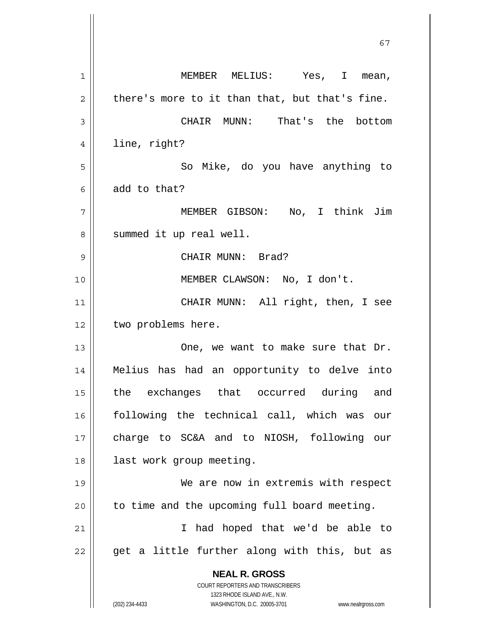**NEAL R. GROSS** COURT REPORTERS AND TRANSCRIBERS 1323 RHODE ISLAND AVE., N.W. (202) 234-4433 WASHINGTON, D.C. 20005-3701 www.nealrgross.com 1 MEMBER MELIUS: Yes, I mean,  $2 \parallel$  there's more to it than that, but that's fine. 3 CHAIR MUNN: That's the bottom 4 || line, right? 5 || So Mike, do you have anything to  $6 \parallel$  add to that? 7 MEMBER GIBSON: No, I think Jim 8 | summed it up real well. 9 CHAIR MUNN: Brad? 10 || **MEMBER CLAWSON:** No, I don't. 11 || CHAIR MUNN: All right, then, I see 12 | two problems here. 13 One, we want to make sure that Dr. 14 Melius has had an opportunity to delve into 15 || the exchanges that occurred during and 16 following the technical call, which was our 17 charge to SC&A and to NIOSH, following our 18 || last work group meeting. 19 We are now in extremis with respect  $20$  | to time and the upcoming full board meeting. 21 || Thad hoped that we'd be able to  $22$  || get a little further along with this, but as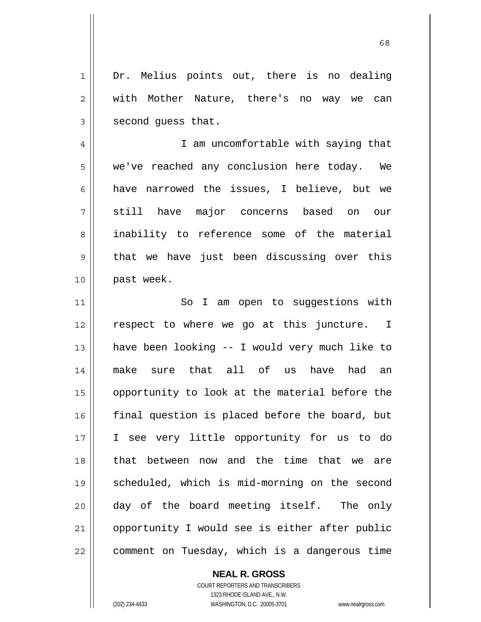1 || Dr. Melius points out, there is no dealing 2 || with Mother Nature, there's no way we can  $3 \parallel$  second quess that.

4 || I am uncomfortable with saying that 5 we've reached any conclusion here today. We 6  $\parallel$  have narrowed the issues, I believe, but we 7 still have major concerns based on our 8 || inability to reference some of the material  $9 \parallel$  that we have just been discussing over this 10 || past week.

11 || So I am open to suggestions with 12 || respect to where we go at this juncture. I 13 have been looking -- I would very much like to 14 make sure that all of us have had an 15 || opportunity to look at the material before the  $16$  final question is placed before the board, but 17 I see very little opportunity for us to do 18 || that between now and the time that we are 19 scheduled, which is mid-morning on the second 20 day of the board meeting itself. The only 21 || opportunity I would see is either after public 22 | comment on Tuesday, which is a dangerous time

> COURT REPORTERS AND TRANSCRIBERS 1323 RHODE ISLAND AVE., N.W. (202) 234-4433 WASHINGTON, D.C. 20005-3701 www.nealrgross.com

 **NEAL R. GROSS**

 $\sim$  68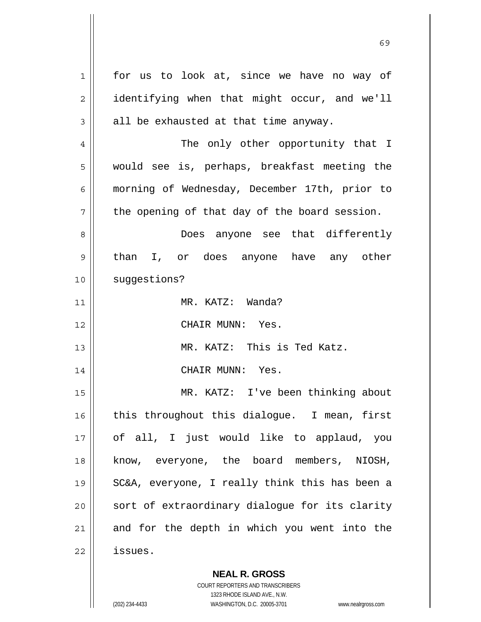1 for us to look at, since we have no way of 2 | identifying when that might occur, and we'll  $3 \parallel$  all be exhausted at that time anyway. 4 The only other opportunity that I 5 would see is, perhaps, breakfast meeting the 6 morning of Wednesday, December 17th, prior to  $7 \parallel$  the opening of that day of the board session. 8 Does anyone see that differently 9 || than I, or does anyone have any other 10 | suggestions? 11 MR. KATZ: Wanda? 12 CHAIR MUNN: Yes. 13 MR. KATZ: This is Ted Katz. 14 || CHAIR MUNN: Yes. 15 MR. KATZ: I've been thinking about 16 || this throughout this dialoque. I mean, first 17 || of all, I just would like to applaud, you 18 || know, everyone, the board members, NIOSH, 19 SC&A, everyone, I really think this has been a 20 || sort of extraordinary dialogue for its clarity  $21$  and for the depth in which you went into the 22 issues.

 $\sim$  69

 **NEAL R. GROSS** COURT REPORTERS AND TRANSCRIBERS 1323 RHODE ISLAND AVE., N.W.

(202) 234-4433 WASHINGTON, D.C. 20005-3701 www.nealrgross.com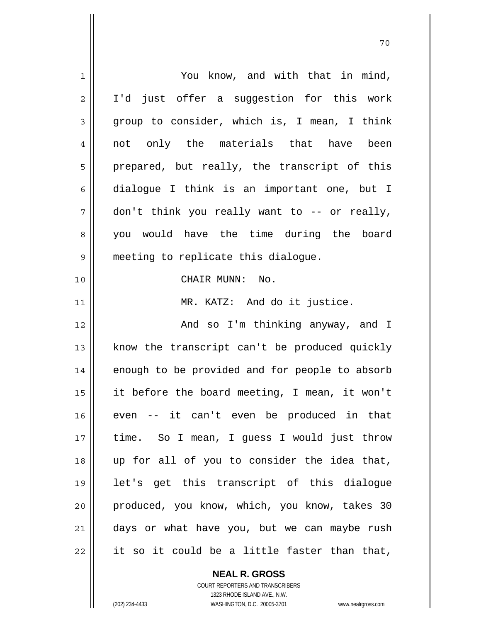| You know, and with that in mind,               |
|------------------------------------------------|
| I'd just offer a suggestion for this work      |
| group to consider, which is, I mean, I think   |
| not only the materials that have been          |
| prepared, but really, the transcript of this   |
| dialogue I think is an important one, but I    |
| don't think you really want to -- or really,   |
| you would have the time during the board       |
| meeting to replicate this dialogue.            |
| CHAIR MUNN: No.                                |
| MR. KATZ: And do it justice.                   |
| And so I'm thinking anyway, and I              |
| know the transcript can't be produced quickly  |
| enough to be provided and for people to absorb |
| it before the board meeting, I mean, it won't  |
| even -- it can't even be produced in that      |
| time. So I mean, I guess I would just throw    |
| up for all of you to consider the idea that,   |
| let's get this transcript of this dialogue     |
| produced, you know, which, you know, takes 30  |
| days or what have you, but we can maybe rush   |
| it so it could be a little faster than that,   |
|                                                |

 **NEAL R. GROSS** COURT REPORTERS AND TRANSCRIBERS

1323 RHODE ISLAND AVE., N.W.

(202) 234-4433 WASHINGTON, D.C. 20005-3701 www.nealrgross.com

 $\mathbf{I}$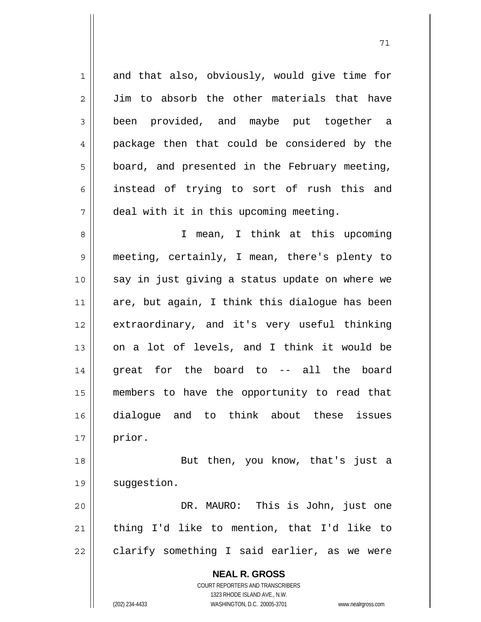**NEAL R. GROSS** COURT REPORTERS AND TRANSCRIBERS 1323 RHODE ISLAND AVE., N.W. 1 and that also, obviously, would give time for 2 Jim to absorb the other materials that have 3 been provided, and maybe put together a 4 || package then that could be considered by the  $5 \parallel$  board, and presented in the February meeting, 6 instead of trying to sort of rush this and 7 deal with it in this upcoming meeting. 8 || I mean, I think at this upcoming 9 meeting, certainly, I mean, there's plenty to 10 || say in just giving a status update on where we 11  $\parallel$  are, but again, I think this dialogue has been 12 extraordinary, and it's very useful thinking 13 || on a lot of levels, and I think it would be 14 great for the board to -- all the board 15 members to have the opportunity to read that 16 dialogue and to think about these issues  $17 \parallel$  prior. 18 || But then, you know, that's just a 19 | suggestion. 20 DR. MAURO: This is John, just one 21  $\parallel$  thing I'd like to mention, that I'd like to  $22$  | clarify something I said earlier, as we were

71

(202) 234-4433 WASHINGTON, D.C. 20005-3701 www.nealrgross.com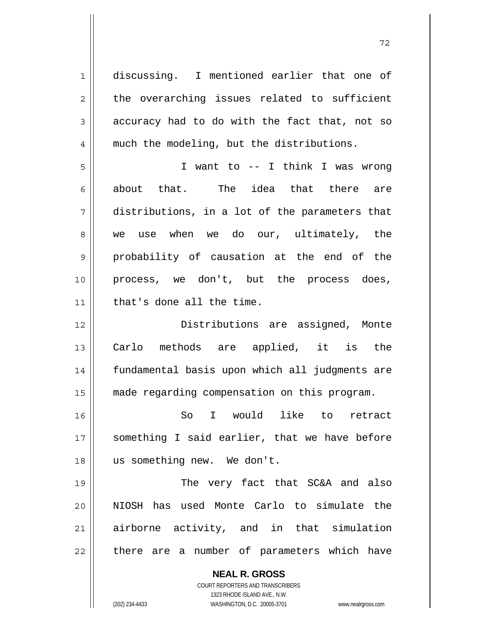**NEAL R. GROSS** 1 discussing. I mentioned earlier that one of  $2 \parallel$  the overarching issues related to sufficient  $3 \parallel$  accuracy had to do with the fact that, not so 4 || much the modeling, but the distributions. 5 I want to -- I think I was wrong 6 about that. The idea that there are 7 distributions, in a lot of the parameters that 8 we use when we do our, ultimately, the 9 || probability of causation at the end of the 10 || process, we don't, but the process does, 11 | that's done all the time. 12 Distributions are assigned, Monte 13 Carlo methods are applied, it is the 14 fundamental basis upon which all judgments are 15 made regarding compensation on this program. 16 So I would like to retract 17 || something I said earlier, that we have before 18 us something new. We don't. 19 || The very fact that SC&A and also 20 NIOSH has used Monte Carlo to simulate the 21 airborne activity, and in that simulation  $22$  || there are a number of parameters which have

> COURT REPORTERS AND TRANSCRIBERS 1323 RHODE ISLAND AVE., N.W.

(202) 234-4433 WASHINGTON, D.C. 20005-3701 www.nealrgross.com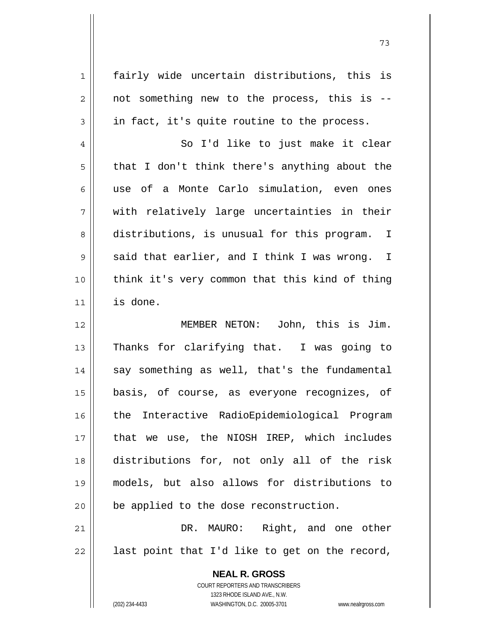1 fairly wide uncertain distributions, this is  $2 \parallel$  not something new to the process, this is -- $3 \parallel$  in fact, it's quite routine to the process.

4 So I'd like to just make it clear  $5 \parallel$  that I don't think there's anything about the 6 use of a Monte Carlo simulation, even ones  $7 \parallel$  with relatively large uncertainties in their 8 distributions, is unusual for this program. I  $9 \parallel$  said that earlier, and I think I was wrong. I 10 think it's very common that this kind of thing 11 is done.

MEMBER NETON: John, this is Jim. 13 || Thanks for clarifying that. I was going to || say something as well, that's the fundamental basis, of course, as everyone recognizes, of 16 || the Interactive RadioEpidemiological Program that we use, the NIOSH IREP, which includes distributions for, not only all of the risk models, but also allows for distributions to | be applied to the dose reconstruction.

21 DR. MAURO: Right, and one other  $22$  || last point that I'd like to get on the record,

> **NEAL R. GROSS** COURT REPORTERS AND TRANSCRIBERS 1323 RHODE ISLAND AVE., N.W. (202) 234-4433 WASHINGTON, D.C. 20005-3701 www.nealrgross.com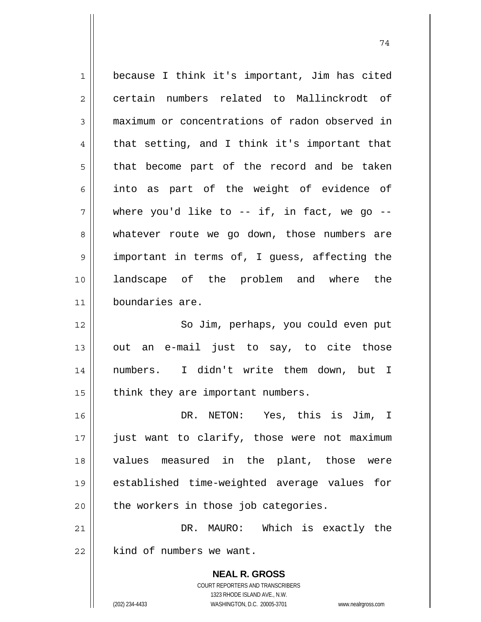**NEAL R. GROSS** COURT REPORTERS AND TRANSCRIBERS 1 because I think it's important, Jim has cited 2 certain numbers related to Mallinckrodt of 3 maximum or concentrations of radon observed in  $4 \parallel$  that setting, and I think it's important that 5 || that become part of the record and be taken  $6 \parallel$  into as part of the weight of evidence of  $7 \parallel$  where you'd like to -- if, in fact, we go --8 || whatever route we go down, those numbers are 9 || important in terms of, I guess, affecting the 10 landscape of the problem and where the 11 boundaries are. 12 || So Jim, perhaps, you could even put  $13$  out an e-mail just to say, to cite those 14 numbers. I didn't write them down, but I  $15$  | think they are important numbers. 16 DR. NETON: Yes, this is Jim, I 17 || just want to clarify, those were not maximum 18 values measured in the plant, those were 19 established time-weighted average values for  $20$  | the workers in those job categories. 21 DR. MAURO: Which is exactly the  $22$  | kind of numbers we want.

74

1323 RHODE ISLAND AVE., N.W.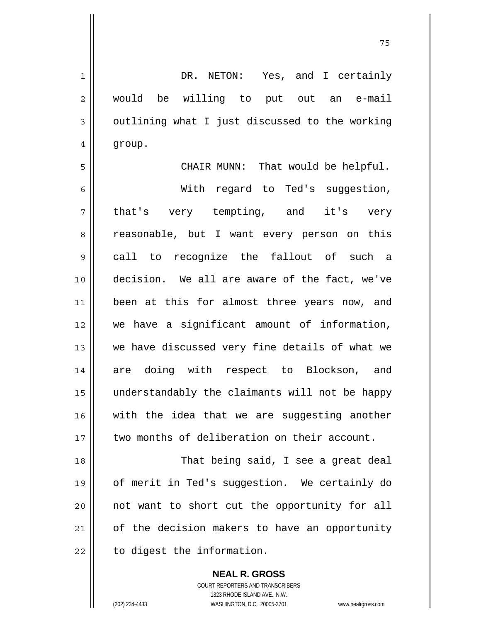1 DR. NETON: Yes, and I certainly 2 || would be willing to put out an e-mail  $3 \parallel$  outlining what I just discussed to the working 4 | group. 5 CHAIR MUNN: That would be helpful. 6 With regard to Ted's suggestion, 7 || that's very tempting, and it's very 8 || reasonable, but I want every person on this 9 call to recognize the fallout of such a 10 decision. We all are aware of the fact, we've 11 || been at this for almost three years now, and 12 we have a significant amount of information, 13 we have discussed very fine details of what we 14 are doing with respect to Blockson, and 15 understandably the claimants will not be happy 16 with the idea that we are suggesting another 17 || two months of deliberation on their account. 18 || That being said, I see a great deal 19 of merit in Ted's suggestion. We certainly do 20 not want to short cut the opportunity for all  $21$  of the decision makers to have an opportunity  $22$  | to digest the information.

75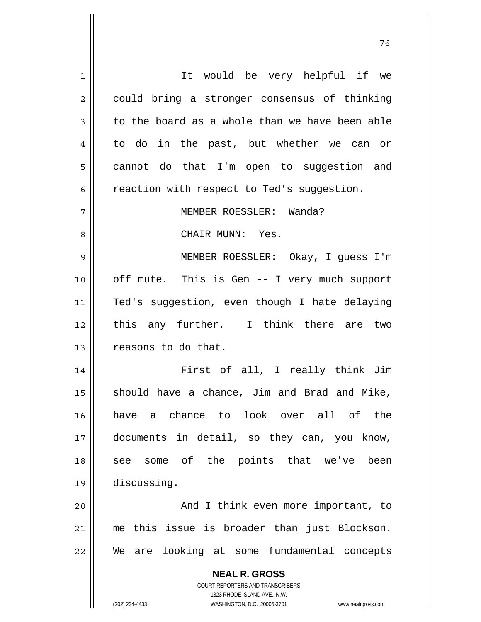| 1  | It would be very helpful if we                                      |
|----|---------------------------------------------------------------------|
| 2  | could bring a stronger consensus of thinking                        |
| 3  | to the board as a whole than we have been able                      |
| 4  | to do in the past, but whether we can or                            |
| 5  | cannot do that I'm open to suggestion and                           |
| 6  | reaction with respect to Ted's suggestion.                          |
| 7  | MEMBER ROESSLER: Wanda?                                             |
| 8  | CHAIR MUNN: Yes.                                                    |
| 9  | MEMBER ROESSLER: Okay, I guess I'm                                  |
| 10 | off mute. This is Gen -- I very much support                        |
| 11 | Ted's suggestion, even though I hate delaying                       |
| 12 | this any further. I think there are two                             |
| 13 | reasons to do that.                                                 |
| 14 | First of all, I really think Jim                                    |
| 15 | should have a chance, Jim and Brad and Mike,                        |
| 16 | look over all<br>chance to<br>οf<br>the<br>have<br>a                |
| 17 | documents in detail, so they can, you know,                         |
| 18 | some of the points that we've<br>been<br>see                        |
| 19 | discussing.                                                         |
| 20 | And I think even more important, to                                 |
| 21 | this issue is broader than just Blockson.<br>me                     |
| 22 | We are looking at some fundamental concepts                         |
|    |                                                                     |
|    | <b>NEAL R. GROSS</b><br><b>COURT REPORTERS AND TRANSCRIBERS</b>     |
|    | 1323 RHODE ISLAND AVE., N.W.                                        |
|    | (202) 234-4433<br>WASHINGTON, D.C. 20005-3701<br>www.nealrgross.com |

и процесс в политическиот представление в 176 године. В 176 године в 176 године. В 176 године в 176 године в 1<br>В 176 године в 176 године в 176 године в 176 године в 176 године в 176 године в 176 године в 176 године в 176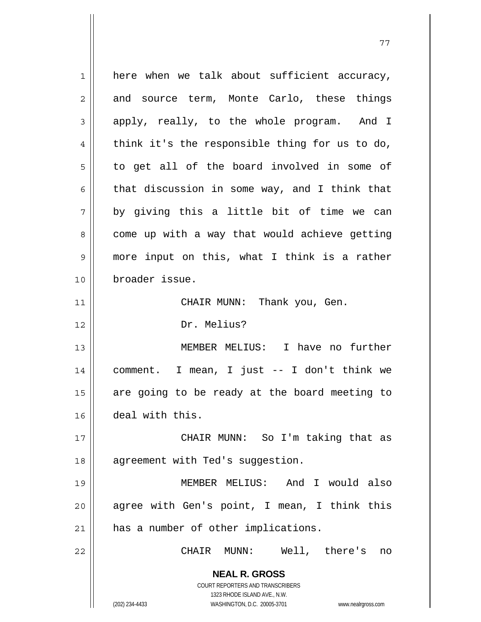**NEAL R. GROSS** COURT REPORTERS AND TRANSCRIBERS 1323 RHODE ISLAND AVE., N.W. (202) 234-4433 WASHINGTON, D.C. 20005-3701 www.nealrgross.com  $1 \parallel$  here when we talk about sufficient accuracy,  $2 \parallel$  and source term, Monte Carlo, these things 3 apply, really, to the whole program. And I 4 think it's the responsible thing for us to do,  $5 \parallel$  to get all of the board involved in some of 6  $\parallel$  that discussion in some way, and I think that  $7 \parallel$  by giving this a little bit of time we can  $8 \parallel$  come up with a way that would achieve getting 9 more input on this, what I think is a rather 10 broader issue. 11 || CHAIR MUNN: Thank you, Gen. 12 Dr. Melius? 13 MEMBER MELIUS: I have no further 14 comment. I mean, I just -- I don't think we  $15$  are going to be ready at the board meeting to 16 deal with this. 17 CHAIR MUNN: So I'm taking that as 18 || agreement with Ted's suggestion. 19 MEMBER MELIUS: And I would also 20 agree with Gen's point, I mean, I think this 21 || has a number of other implications. 22 CHAIR MUNN: Well, there's no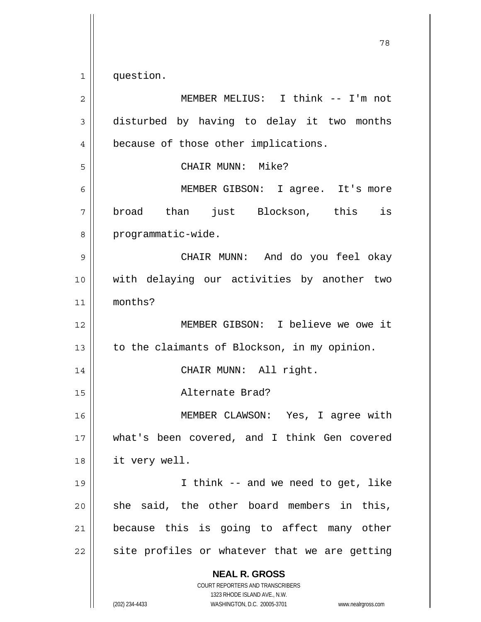$1 \parallel$  question.

| $\overline{2}$ | MEMBER MELIUS: I think -- I'm not                                                                                                                                      |
|----------------|------------------------------------------------------------------------------------------------------------------------------------------------------------------------|
| 3              | disturbed by having to delay it two months                                                                                                                             |
| 4              | because of those other implications.                                                                                                                                   |
| 5              | CHAIR MUNN: Mike?                                                                                                                                                      |
| 6              | MEMBER GIBSON: I agree. It's more                                                                                                                                      |
| 7              | broad than just Blockson, this<br>is                                                                                                                                   |
| 8              | programmatic-wide.                                                                                                                                                     |
| 9              | CHAIR MUNN: And do you feel okay                                                                                                                                       |
| 10             | with delaying our activities by another two                                                                                                                            |
| 11             | months?                                                                                                                                                                |
| 12             | MEMBER GIBSON: I believe we owe it                                                                                                                                     |
| 13             | to the claimants of Blockson, in my opinion.                                                                                                                           |
| 14             | CHAIR MUNN: All right.                                                                                                                                                 |
| 15             | Alternate Brad?                                                                                                                                                        |
| 16             | MEMBER CLAWSON: Yes, I agree with                                                                                                                                      |
| 17             | what's been covered, and I think Gen covered                                                                                                                           |
| 18             | it very well.                                                                                                                                                          |
| 19             | I think -- and we need to get, like                                                                                                                                    |
| 20             | she said, the other board members in this,                                                                                                                             |
| 21             | because this is going to affect many other                                                                                                                             |
| 22             | site profiles or whatever that we are getting                                                                                                                          |
|                | <b>NEAL R. GROSS</b><br><b>COURT REPORTERS AND TRANSCRIBERS</b><br>1323 RHODE ISLAND AVE., N.W.<br>(202) 234-4433<br>WASHINGTON, D.C. 20005-3701<br>www.nealrgross.com |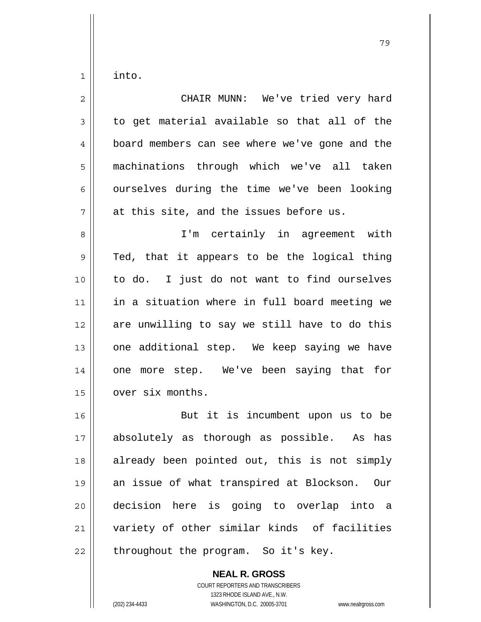$1 \parallel$  into.

| $\overline{2}$ | CHAIR MUNN: We've tried very hard              |
|----------------|------------------------------------------------|
| 3              | to get material available so that all of the   |
| 4              | board members can see where we've gone and the |
| 5              | machinations through which we've all taken     |
| 6              | ourselves during the time we've been looking   |
| 7              | at this site, and the issues before us.        |
| 8              | I'm certainly in agreement with                |
| 9              | Ted, that it appears to be the logical thing   |
| 10             | to do. I just do not want to find ourselves    |
| 11             | in a situation where in full board meeting we  |
| 12             | are unwilling to say we still have to do this  |
| 13             | one additional step. We keep saying we have    |
| 14             | one more step. We've been saying that for      |
| 15             | over six months.                               |
| 16             | But it is incumbent upon us to be              |
| 17             | absolutely as thorough as possible. As has     |
| 18             | already been pointed out, this is not simply   |
| 19             | an issue of what transpired at Blockson. Our   |
| 20             | decision here is going to overlap into a       |
| 21             | variety of other similar kinds of facilities   |
| 22             | throughout the program. So it's key.           |

 **NEAL R. GROSS** COURT REPORTERS AND TRANSCRIBERS 1323 RHODE ISLAND AVE., N.W. (202) 234-4433 WASHINGTON, D.C. 20005-3701 www.nealrgross.com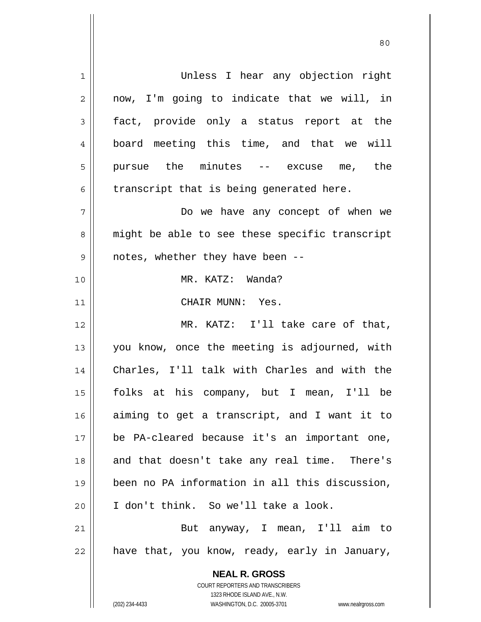| 1  | Unless I hear any objection right                                   |
|----|---------------------------------------------------------------------|
| 2  | now, I'm going to indicate that we will, in                         |
| 3  | fact, provide only a status report at the                           |
| 4  | board meeting this time, and that we will                           |
| 5  | pursue the minutes -- excuse me, the                                |
| 6  | transcript that is being generated here.                            |
| 7  | Do we have any concept of when we                                   |
| 8  | might be able to see these specific transcript                      |
| 9  | notes, whether they have been --                                    |
| 10 | MR. KATZ: Wanda?                                                    |
| 11 | CHAIR MUNN: Yes.                                                    |
| 12 | MR. KATZ: I'll take care of that,                                   |
| 13 | you know, once the meeting is adjourned, with                       |
| 14 | Charles, I'll talk with Charles and with the                        |
| 15 | folks at his company, but I mean, I'll be                           |
| 16 | aiming to get a transcript, and I want it to                        |
| 17 | be PA-cleared because it's an important one,                        |
| 18 | and that doesn't take any real time. There's                        |
| 19 | been no PA information in all this discussion,                      |
| 20 | I don't think. So we'll take a look.                                |
| 21 | But anyway, I mean, I'll aim to                                     |
| 22 | have that, you know, ready, early in January,                       |
|    | <b>NEAL R. GROSS</b>                                                |
|    | <b>COURT REPORTERS AND TRANSCRIBERS</b>                             |
|    | 1323 RHODE ISLAND AVE., N.W.                                        |
|    | (202) 234-4433<br>WASHINGTON, D.C. 20005-3701<br>www.nealrgross.com |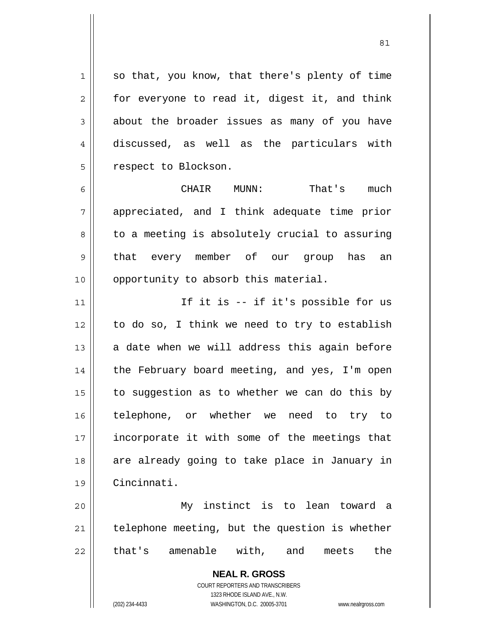$1 \parallel$  so that, you know, that there's plenty of time  $2 \parallel$  for everyone to read it, digest it, and think  $3 \parallel$  about the broader issues as many of you have 4 discussed, as well as the particulars with 5 | respect to Blockson.

<u>81</u>

6 CHAIR MUNN: That's much 7 appreciated, and I think adequate time prior  $8 \parallel$  to a meeting is absolutely crucial to assuring 9 || that every member of our group has an 10 || opportunity to absorb this material.

11 || If it is -- if it's possible for us  $12$  to do so, I think we need to try to establish 13  $\parallel$  a date when we will address this again before 14 || the February board meeting, and yes, I'm open 15  $\parallel$  to suggestion as to whether we can do this by 16 telephone, or whether we need to try to 17 || incorporate it with some of the meetings that 18 || are already going to take place in January in 19 Cincinnati.

20 My instinct is to lean toward a  $21$  | telephone meeting, but the question is whether 22 ll that's amenable with, and meets the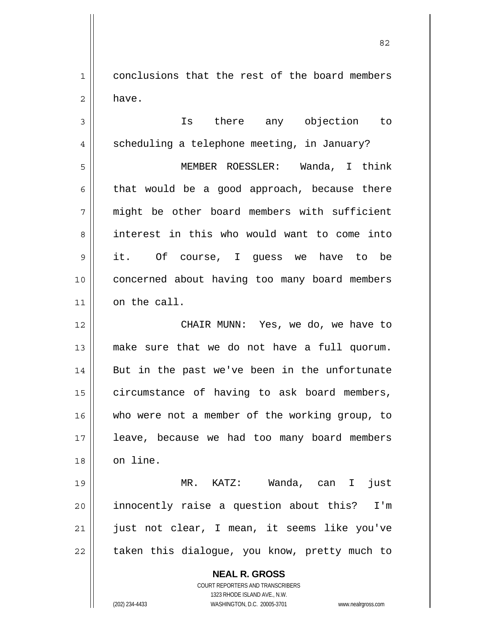1 conclusions that the rest of the board members 2 have.

3 Is there any objection to 4 || scheduling a telephone meeting, in January? 5 MEMBER ROESSLER: Wanda, I think  $6 \parallel$  that would be a good approach, because there 7 might be other board members with sufficient 8 interest in this who would want to come into 9 it. Of course, I guess we have to be 10 || concerned about having too many board members  $11$  on the call. 12 CHAIR MUNN: Yes, we do, we have to 13 make sure that we do not have a full quorum. 14 || But in the past we've been in the unfortunate 15 | circumstance of having to ask board members, 16 || who were not a member of the working group, to

17 || leave, because we had too many board members 18 | on line.

MR. KATZ: Wanda, can I just innocently raise a question about this? I'm 21 || just not clear, I mean, it seems like you've | taken this dialogue, you know, pretty much to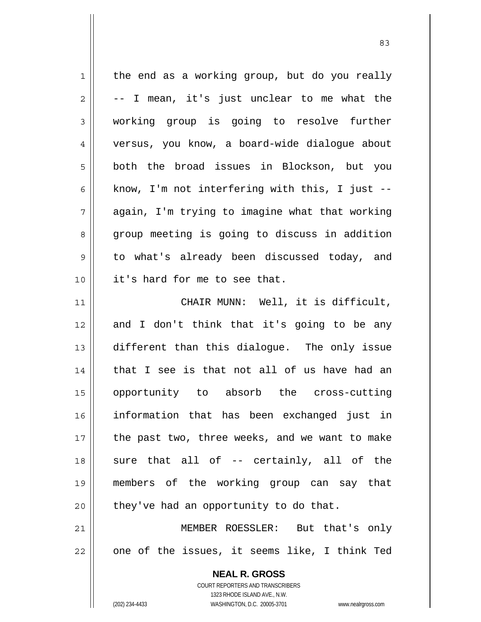$1 \parallel$  the end as a working group, but do you really  $2 \parallel -1$  mean, it's just unclear to me what the working group is going to resolve further versus, you know, a board-wide dialogue about both the broad issues in Blockson, but you  $\parallel$  know, I'm not interfering with this, I just -- $7 \parallel$  again, I'm trying to imagine what that working 8 group meeting is going to discuss in addition 9 || to what's already been discussed today, and it's hard for me to see that. CHAIR MUNN: Well, it is difficult, 12 and I don't think that it's going to be any different than this dialogue. The only issue 14 || that I see is that not all of us have had an opportunity to absorb the cross-cutting information that has been exchanged just in | the past two, three weeks, and we want to make || sure that all of -- certainly, all of the members of the working group can say that | they've had an opportunity to do that. MEMBER ROESSLER: But that's only | one of the issues, it seems like, I think Ted

<u>83</u>

(202) 234-4433 WASHINGTON, D.C. 20005-3701 www.nealrgross.com

 COURT REPORTERS AND TRANSCRIBERS 1323 RHODE ISLAND AVE., N.W.

 **NEAL R. GROSS**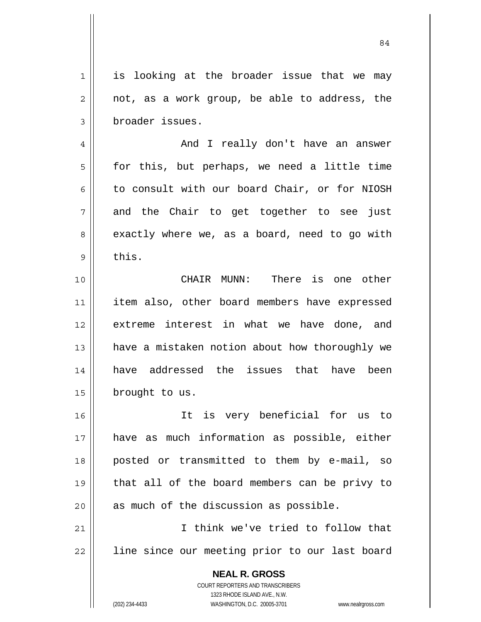1 || is looking at the broader issue that we may  $2 \parallel$  not, as a work group, be able to address, the 3 | broader issues.

4 And I really don't have an answer  $5 \parallel$  for this, but perhaps, we need a little time 6 || to consult with our board Chair, or for NIOSH  $7 \parallel$  and the Chair to get together to see just 8 || exactly where we, as a board, need to go with  $9 \parallel$  this.

10 CHAIR MUNN: There is one other 11 || item also, other board members have expressed 12 extreme interest in what we have done, and 13 || have a mistaken notion about how thoroughly we 14 have addressed the issues that have been 15 | brought to us.

It is very beneficial for us to have as much information as possible, either posted or transmitted to them by e-mail, so that all of the board members can be privy to || as much of the discussion as possible.

21 I think we've tried to follow that 22 || line since our meeting prior to our last board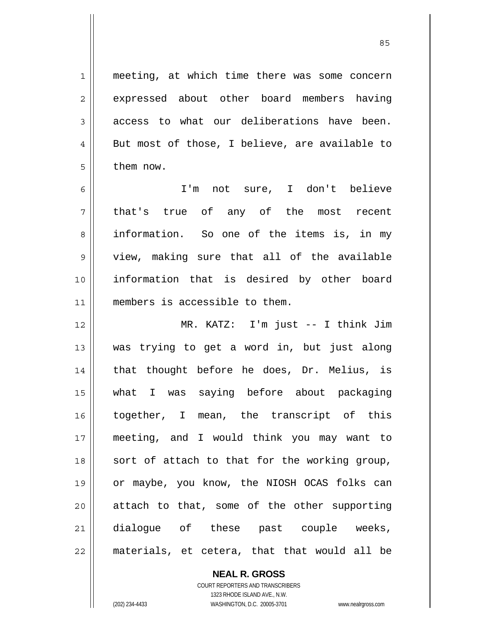1 || meeting, at which time there was some concern 2 expressed about other board members having  $3$  || access to what our deliberations have been.  $4 \parallel$  But most of those, I believe, are available to 5 l them now.

I'm not sure, I don't believe that's true of any of the most recent 8 information. So one of the items is, in my view, making sure that all of the available information that is desired by other board 11 || members is accessible to them.

MR. KATZ: I'm just -- I think Jim was trying to get a word in, but just along 14 || that thought before he does, Dr. Melius, is what I was saying before about packaging together, I mean, the transcript of this meeting, and I would think you may want to 18 || sort of attach to that for the working group, or maybe, you know, the NIOSH OCAS folks can attach to that, some of the other supporting 21 dialoque of these past couple weeks, || materials, et cetera, that that would all be

> **NEAL R. GROSS** COURT REPORTERS AND TRANSCRIBERS

> > 1323 RHODE ISLAND AVE., N.W.

(202) 234-4433 WASHINGTON, D.C. 20005-3701 www.nealrgross.com

<u>85 and 2001 and 2001 and 2001 and 2001 and 2001 and 2001 and 2001 and 2001 and 2001 and 2001 and 2001 and 200</u>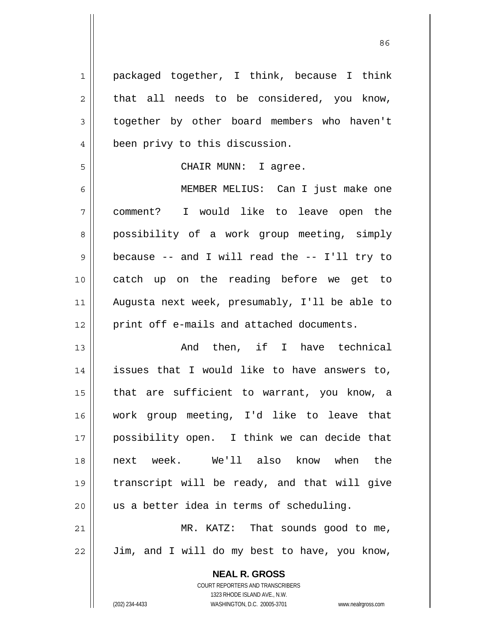**NEAL R. GROSS** 1 || packaged together, I think, because I think  $2 \parallel$  that all needs to be considered, you know, 3 | together by other board members who haven't 4 || been privy to this discussion. 5 CHAIR MUNN: I agree. 6 MEMBER MELIUS: Can I just make one 7 comment? I would like to leave open the 8 | possibility of a work group meeting, simply  $9 \parallel$  because -- and I will read the -- I'll try to 10 catch up on the reading before we get to 11 Augusta next week, presumably, I'll be able to 12 | print off e-mails and attached documents. 13 || The Rand then, if I have technical 14 issues that I would like to have answers to, 15 || that are sufficient to warrant, you know, a 16 work group meeting, I'd like to leave that 17 possibility open. I think we can decide that 18 next week. We'll also know when the 19 transcript will be ready, and that will give  $20$  || us a better idea in terms of scheduling. 21 || MR. KATZ: That sounds good to me,  $22$  | Jim, and I will do my best to have, you know,

> COURT REPORTERS AND TRANSCRIBERS 1323 RHODE ISLAND AVE., N.W.

(202) 234-4433 WASHINGTON, D.C. 20005-3701 www.nealrgross.com

<u>86 and 2001 and 2002 and 2003 and 2003 and 2003 and 2003 and 2003 and 2003 and 2003 and 2003 and 2003 and 200</u>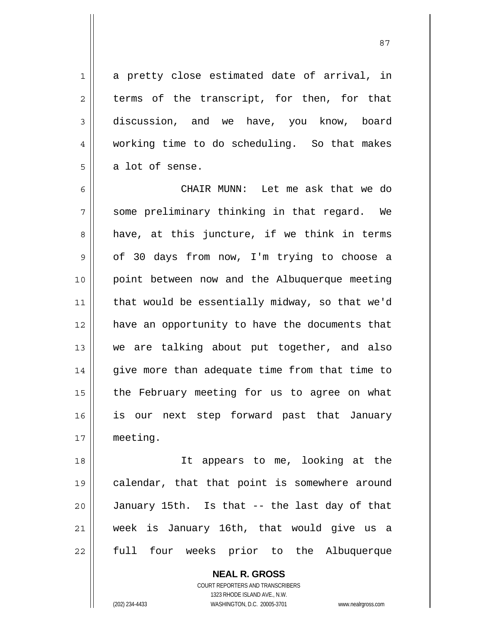$1 \parallel$  a pretty close estimated date of arrival, in  $2 \parallel$  terms of the transcript, for then, for that 3 discussion, and we have, you know, board 4 working time to do scheduling. So that makes  $5 \parallel$  a lot of sense.

6 CHAIR MUNN: Let me ask that we do  $7 \parallel$  some preliminary thinking in that regard. We  $8 \parallel$  have, at this juncture, if we think in terms 9 | of 30 days from now, I'm trying to choose a 10 point between now and the Albuquerque meeting 11 || that would be essentially midway, so that we'd 12 have an opportunity to have the documents that 13 we are talking about put together, and also 14 || give more than adequate time from that time to 15 || the February meeting for us to agree on what 16 is our next step forward past that January 17 meeting.

18 It appears to me, looking at the 19 || calendar, that that point is somewhere around 20 January 15th. Is that -- the last day of that 21 week is January 16th, that would give us a 22 full four weeks prior to the Albuquerque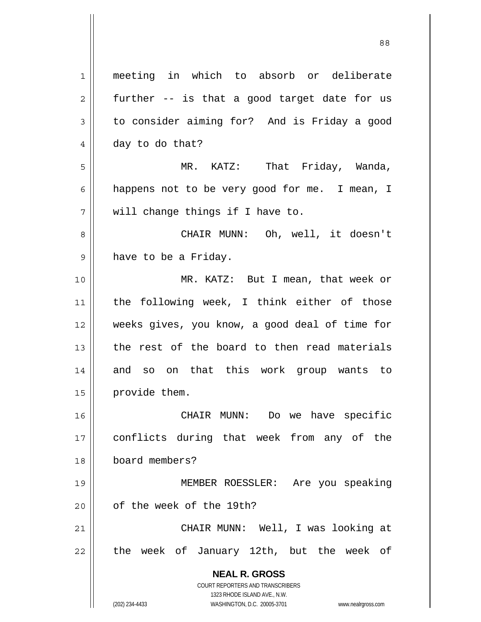| meeting in which to absorb or deliberate                                                            |
|-----------------------------------------------------------------------------------------------------|
| further -- is that a good target date for us                                                        |
| to consider aiming for? And is Friday a good                                                        |
| day to do that?                                                                                     |
| MR. KATZ: That Friday, Wanda,                                                                       |
| happens not to be very good for me. I mean, I                                                       |
| will change things if I have to.                                                                    |
| CHAIR MUNN: Oh, well, it doesn't                                                                    |
| have to be a Friday.                                                                                |
| MR. KATZ: But I mean, that week or                                                                  |
| the following week, I think either of those                                                         |
| weeks gives, you know, a good deal of time for                                                      |
| the rest of the board to then read materials                                                        |
| and so on that this work group wants to                                                             |
| provide them.                                                                                       |
| CHAIR MUNN:<br>Do we have specific                                                                  |
| conflicts during that week from any of the                                                          |
| board members?                                                                                      |
| MEMBER ROESSLER: Are you speaking                                                                   |
| of the week of the 19th?                                                                            |
| CHAIR MUNN: Well, I was looking at                                                                  |
| the week of January 12th, but the week of                                                           |
| <b>NEAL R. GROSS</b>                                                                                |
| <b>COURT REPORTERS AND TRANSCRIBERS</b>                                                             |
| 1323 RHODE ISLAND AVE., N.W.<br>(202) 234-4433<br>WASHINGTON, D.C. 20005-3701<br>www.nealrgross.com |
|                                                                                                     |

 $\mathsf{I}$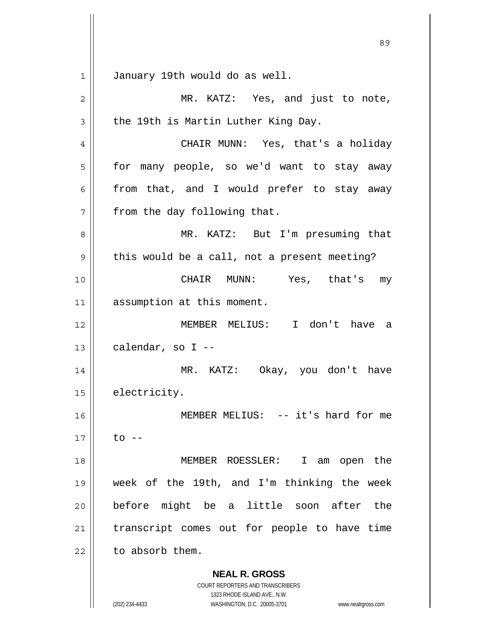**NEAL R. GROSS** COURT REPORTERS AND TRANSCRIBERS 1323 RHODE ISLAND AVE., N.W. <u>89 and 2001 and 2002 and 2003 and 2003 and 2003 and 2003 and 2003 and 2003 and 2003 and 2003 and 2003 and 200</u> 1 January 19th would do as well. 2 MR. KATZ: Yes, and just to note,  $3 \parallel$  the 19th is Martin Luther King Day. 4 CHAIR MUNN: Yes, that's a holiday 5 | for many people, so we'd want to stay away  $6 \parallel$  from that, and I would prefer to stay away  $7$  || from the day following that. 8 MR. KATZ: But I'm presuming that  $9 \parallel$  this would be a call, not a present meeting? 10 || CHAIR MUNN: Yes, that's my 11 | assumption at this moment. 12 MEMBER MELIUS: I don't have a  $13 \parallel$  calendar, so I --14 MR. KATZ: Okay, you don't have 15 | electricity. 16 || MEMBER MELIUS: -- it's hard for me  $17 \parallel$  to  $-$ 18 MEMBER ROESSLER: I am open the 19 week of the 19th, and I'm thinking the week 20 before might be a little soon after the  $21$  transcript comes out for people to have time  $22$   $\parallel$  to absorb them.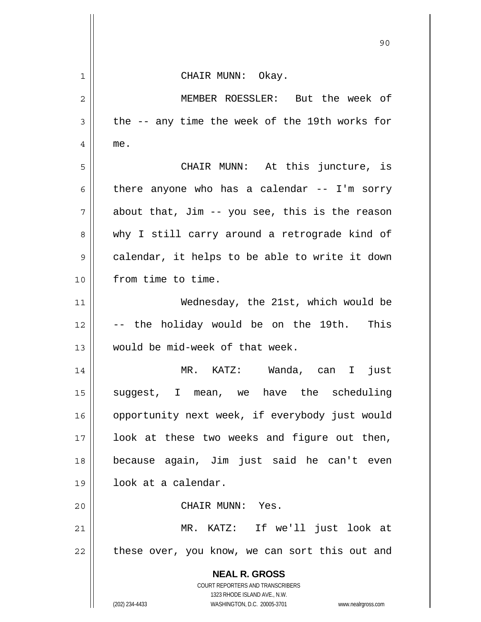|    | 90                                                                                                  |
|----|-----------------------------------------------------------------------------------------------------|
| 1  | CHAIR MUNN: Okay.                                                                                   |
| 2  | MEMBER ROESSLER: But the week of                                                                    |
| 3  | the -- any time the week of the 19th works for                                                      |
| 4  | me.                                                                                                 |
| 5  | CHAIR MUNN: At this juncture, is                                                                    |
| 6  | there anyone who has a calendar $--$ I'm sorry                                                      |
| 7  | about that, Jim -- you see, this is the reason                                                      |
| 8  | why I still carry around a retrograde kind of                                                       |
| 9  | calendar, it helps to be able to write it down                                                      |
| 10 | from time to time.                                                                                  |
| 11 | Wednesday, the 21st, which would be                                                                 |
| 12 | -- the holiday would be on the 19th. This                                                           |
| 13 | would be mid-week of that week.                                                                     |
| 14 | MR. KATZ: Wanda, can I just                                                                         |
| 15 | suggest, I mean, we have the scheduling                                                             |
| 16 | opportunity next week, if everybody just would                                                      |
| 17 | look at these two weeks and figure out then,                                                        |
| 18 | because again, Jim just said he can't even                                                          |
| 19 | look at a calendar.                                                                                 |
| 20 | CHAIR MUNN: Yes.                                                                                    |
| 21 | MR. KATZ: If we'll just look at                                                                     |
| 22 | these over, you know, we can sort this out and                                                      |
|    | <b>NEAL R. GROSS</b><br>COURT REPORTERS AND TRANSCRIBERS                                            |
|    | 1323 RHODE ISLAND AVE., N.W.<br>(202) 234-4433<br>WASHINGTON, D.C. 20005-3701<br>www.nealrgross.com |

 $\mathsf{l}$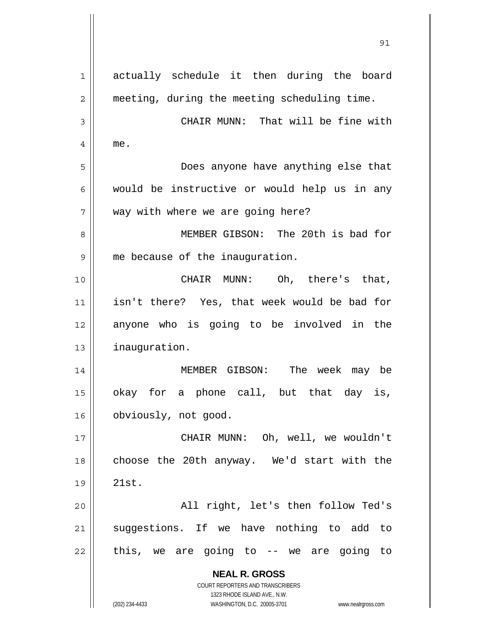| 1              | actually schedule it then during the board                                                          |
|----------------|-----------------------------------------------------------------------------------------------------|
| $\overline{2}$ | meeting, during the meeting scheduling time.                                                        |
| 3              | CHAIR MUNN: That will be fine with                                                                  |
| 4              | me.                                                                                                 |
| 5              | Does anyone have anything else that                                                                 |
| 6              | would be instructive or would help us in any                                                        |
| 7              | way with where we are going here?                                                                   |
| 8              | MEMBER GIBSON: The 20th is bad for                                                                  |
| 9              | me because of the inauguration.                                                                     |
| 10             | CHAIR MUNN: Oh, there's that,                                                                       |
| 11             | isn't there? Yes, that week would be bad for                                                        |
| 12             | anyone who is going to be involved in the                                                           |
| 13             | inauguration.                                                                                       |
| 14             | MEMBER GIBSON: The week may be                                                                      |
| 15             | okay for a phone call, but that day is,                                                             |
| 16             | obviously, not good.                                                                                |
| 17             | CHAIR MUNN: Oh, well, we wouldn't                                                                   |
| 18             | choose the 20th anyway. We'd start with the                                                         |
| 19             | 21st.                                                                                               |
| 20             | All right, let's then follow Ted's                                                                  |
| 21             | suggestions. If we have nothing to add to                                                           |
| 22             | this, we are going to $-$ we are going to                                                           |
|                | <b>NEAL R. GROSS</b>                                                                                |
|                | COURT REPORTERS AND TRANSCRIBERS                                                                    |
|                | 1323 RHODE ISLAND AVE., N.W.<br>(202) 234-4433<br>WASHINGTON, D.C. 20005-3701<br>www.nealrgross.com |

<u>91</u>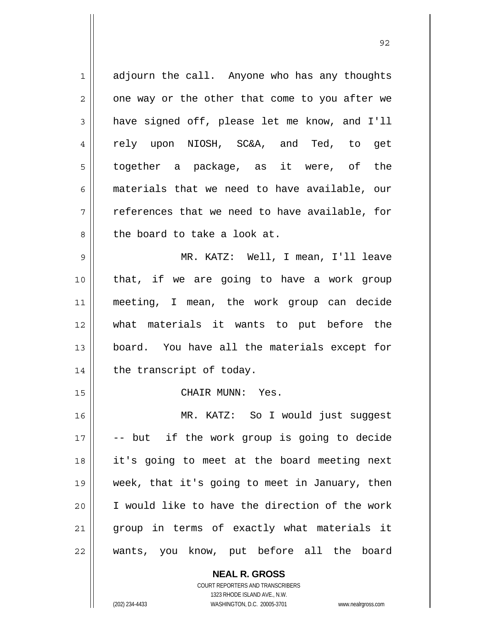$1 \parallel$  adjourn the call. Anyone who has any thoughts  $2 \parallel$  one way or the other that come to you after we  $3 \parallel$  have signed off, please let me know, and I'll 4 Fely upon NIOSH, SC&A, and Ted, to get together a package, as it were, of the materials that we need to have available, our  $7 \parallel$  references that we need to have available, for 8 decries to take a look at. MR. KATZ: Well, I mean, I'll leave that, if we are going to have a work group meeting, I mean, the work group can decide what materials it wants to put before the board. You have all the materials except for | the transcript of today. 15 || CHAIR MUNN: Yes. MR. KATZ: So I would just suggest -- but if the work group is going to decide it's going to meet at the board meeting next week, that it's going to meet in January, then || I would like to have the direction of the work 21 || group in terms of exactly what materials it wants, you know, put before all the board

<u>92 and 2014 and 2014 and 2014 and 2014 and 2014 and 2014 and 2014 and 2014 and 2014 and 2014 and 2014 and 201</u>

 **NEAL R. GROSS** COURT REPORTERS AND TRANSCRIBERS 1323 RHODE ISLAND AVE., N.W.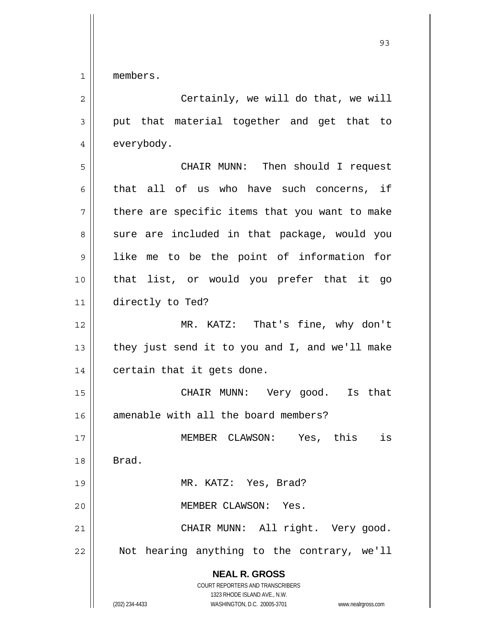1 members.

| $\sqrt{2}$     | Certainly, we will do that, we will                                                                                                                                    |
|----------------|------------------------------------------------------------------------------------------------------------------------------------------------------------------------|
| $\mathfrak{Z}$ | put that material together and get that to                                                                                                                             |
| $\overline{4}$ | everybody.                                                                                                                                                             |
| 5              | CHAIR MUNN: Then should I request                                                                                                                                      |
| 6              | that all of us who have such concerns, if                                                                                                                              |
| 7              | there are specific items that you want to make                                                                                                                         |
| 8              | sure are included in that package, would you                                                                                                                           |
| $\mathsf 9$    | like me to be the point of information for                                                                                                                             |
| 10             | that list, or would you prefer that it go                                                                                                                              |
| 11             | directly to Ted?                                                                                                                                                       |
| 12             | MR. KATZ: That's fine, why don't                                                                                                                                       |
| 13             | they just send it to you and I, and we'll make                                                                                                                         |
| 14             | certain that it gets done.                                                                                                                                             |
| 15             | CHAIR MUNN: Very good. Is that                                                                                                                                         |
| 16             | amenable with all the board members?                                                                                                                                   |
| 17             | MEMBER CLAWSON: Yes, this<br>is                                                                                                                                        |
| 18             | Brad.                                                                                                                                                                  |
| 19             | MR. KATZ: Yes, Brad?                                                                                                                                                   |
| 20             | MEMBER CLAWSON:<br>Yes.                                                                                                                                                |
| 21             | CHAIR MUNN: All right. Very good.                                                                                                                                      |
| 22             | Not hearing anything to the contrary, we'll                                                                                                                            |
|                | <b>NEAL R. GROSS</b><br><b>COURT REPORTERS AND TRANSCRIBERS</b><br>1323 RHODE ISLAND AVE., N.W.<br>(202) 234-4433<br>WASHINGTON, D.C. 20005-3701<br>www.nealrgross.com |

<u>93 and 200 and 200 and 200 and 200 and 200 and 200 and 200 and 200 and 200 and 200 and 200 and 200 and 200 an</u>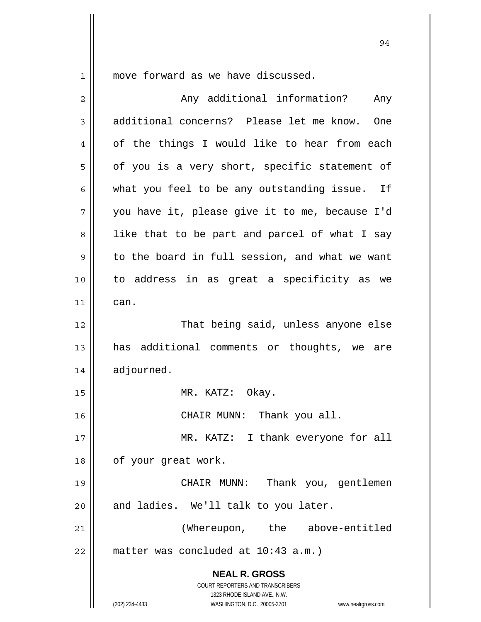$1 \parallel$  move forward as we have discussed.

| $\overline{2}$ | Any additional information?<br>Any                                      |
|----------------|-------------------------------------------------------------------------|
| 3              | additional concerns? Please let me know. One                            |
| 4              | of the things I would like to hear from each                            |
| 5              | of you is a very short, specific statement of                           |
| 6              | what you feel to be any outstanding issue.<br>Ιf                        |
| 7              | you have it, please give it to me, because I'd                          |
| 8              | like that to be part and parcel of what I say                           |
| 9              | to the board in full session, and what we want                          |
| 10             | to address in as great a specificity as we                              |
| 11             | can.                                                                    |
| 12             | That being said, unless anyone else                                     |
| 13             | has additional comments or thoughts, we are                             |
| 14             | adjourned.                                                              |
| 15             | MR. KATZ: Okay.                                                         |
| 16             | CHAIR MUNN: Thank you all.                                              |
| 17             | MR. KATZ: I thank everyone for all                                      |
| 18             | of your great work.                                                     |
| 19             | CHAIR MUNN:<br>Thank you, gentlemen                                     |
| 20             | and ladies. We'll talk to you later.                                    |
| 21             | (Whereupon, the above-entitled                                          |
| 22             | matter was concluded at 10:43 a.m.)                                     |
|                | <b>NEAL R. GROSS</b>                                                    |
|                | <b>COURT REPORTERS AND TRANSCRIBERS</b><br>1323 RHODE ISLAND AVE., N.W. |
|                | (202) 234-4433<br>WASHINGTON, D.C. 20005-3701<br>www.nealrgross.com     |